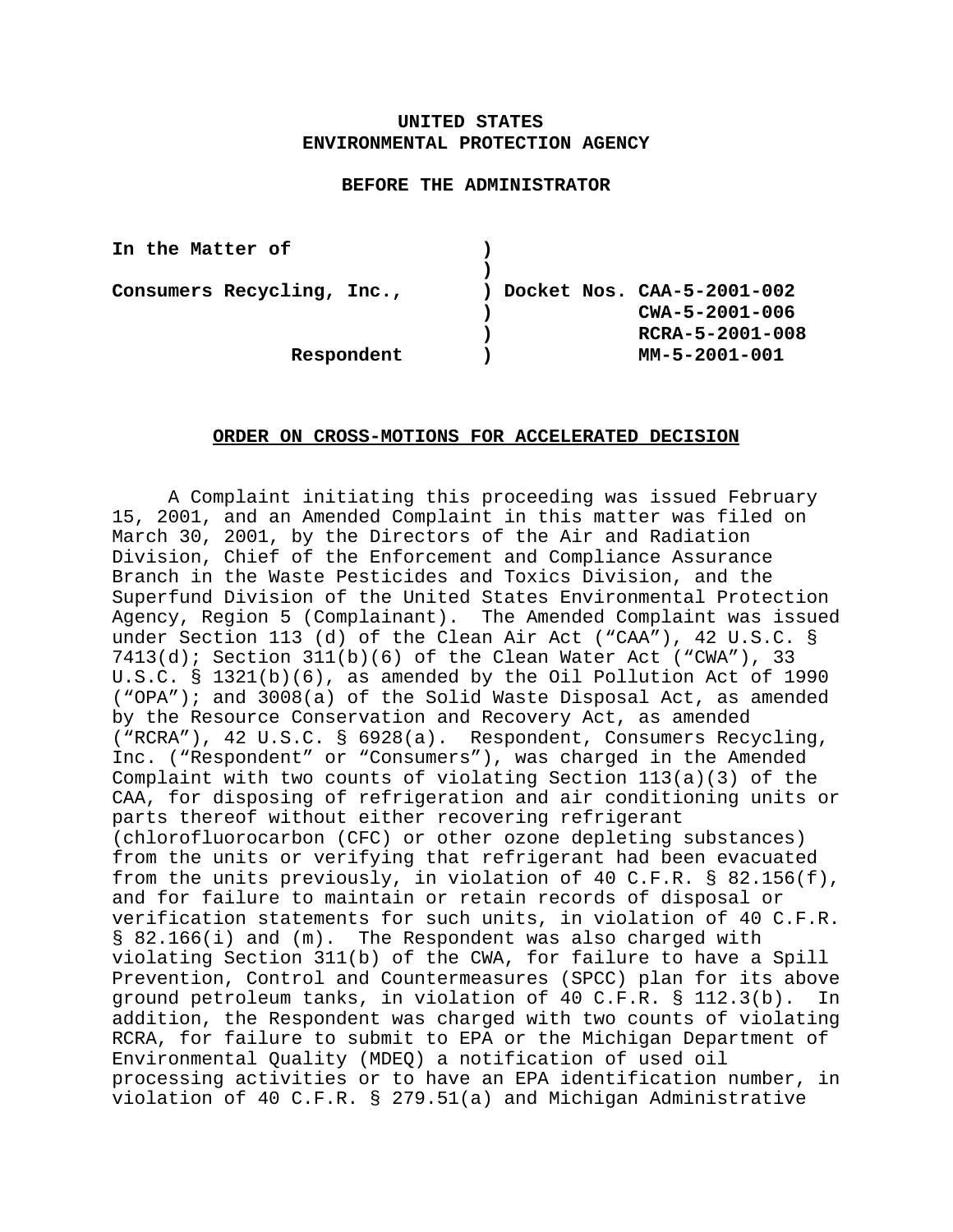# **UNITED STATES ENVIRONMENTAL PROTECTION AGENCY**

### **BEFORE THE ADMINISTRATOR**

| In the Matter of           |                              |
|----------------------------|------------------------------|
|                            |                              |
| Consumers Recycling, Inc., | ) Docket Nos. CAA-5-2001-002 |
|                            | $CWA - 5 - 2001 - 006$       |
|                            | RCRA-5-2001-008              |
| Respondent                 | MM-5-2001-001                |

### **ORDER ON CROSS-MOTIONS FOR ACCELERATED DECISION**

A Complaint initiating this proceeding was issued February 15, 2001, and an Amended Complaint in this matter was filed on March 30, 2001, by the Directors of the Air and Radiation Division, Chief of the Enforcement and Compliance Assurance Branch in the Waste Pesticides and Toxics Division, and the Superfund Division of the United States Environmental Protection Agency, Region 5 (Complainant). The Amended Complaint was issued under Section 113 (d) of the Clean Air Act ("CAA"), 42 U.S.C. §  $7413(d)$ ; Section  $311(b)(6)$  of the Clean Water Act ("CWA"), 33 U.S.C. § 1321(b)(6), as amended by the Oil Pollution Act of 1990 ("OPA"); and 3008(a) of the Solid Waste Disposal Act, as amended by the Resource Conservation and Recovery Act, as amended ("RCRA"), 42 U.S.C. § 6928(a). Respondent, Consumers Recycling, Inc. ("Respondent" or "Consumers"), was charged in the Amended Complaint with two counts of violating Section  $113(a)(3)$  of the CAA, for disposing of refrigeration and air conditioning units or parts thereof without either recovering refrigerant (chlorofluorocarbon (CFC) or other ozone depleting substances) from the units or verifying that refrigerant had been evacuated from the units previously, in violation of 40 C.F.R. § 82.156(f), and for failure to maintain or retain records of disposal or verification statements for such units, in violation of 40 C.F.R. § 82.166(i) and (m). The Respondent was also charged with violating Section 311(b) of the CWA, for failure to have a Spill Prevention, Control and Countermeasures (SPCC) plan for its above ground petroleum tanks, in violation of 40 C.F.R. § 112.3(b). In addition, the Respondent was charged with two counts of violating RCRA, for failure to submit to EPA or the Michigan Department of Environmental Quality (MDEQ) a notification of used oil processing activities or to have an EPA identification number, in violation of 40 C.F.R. § 279.51(a) and Michigan Administrative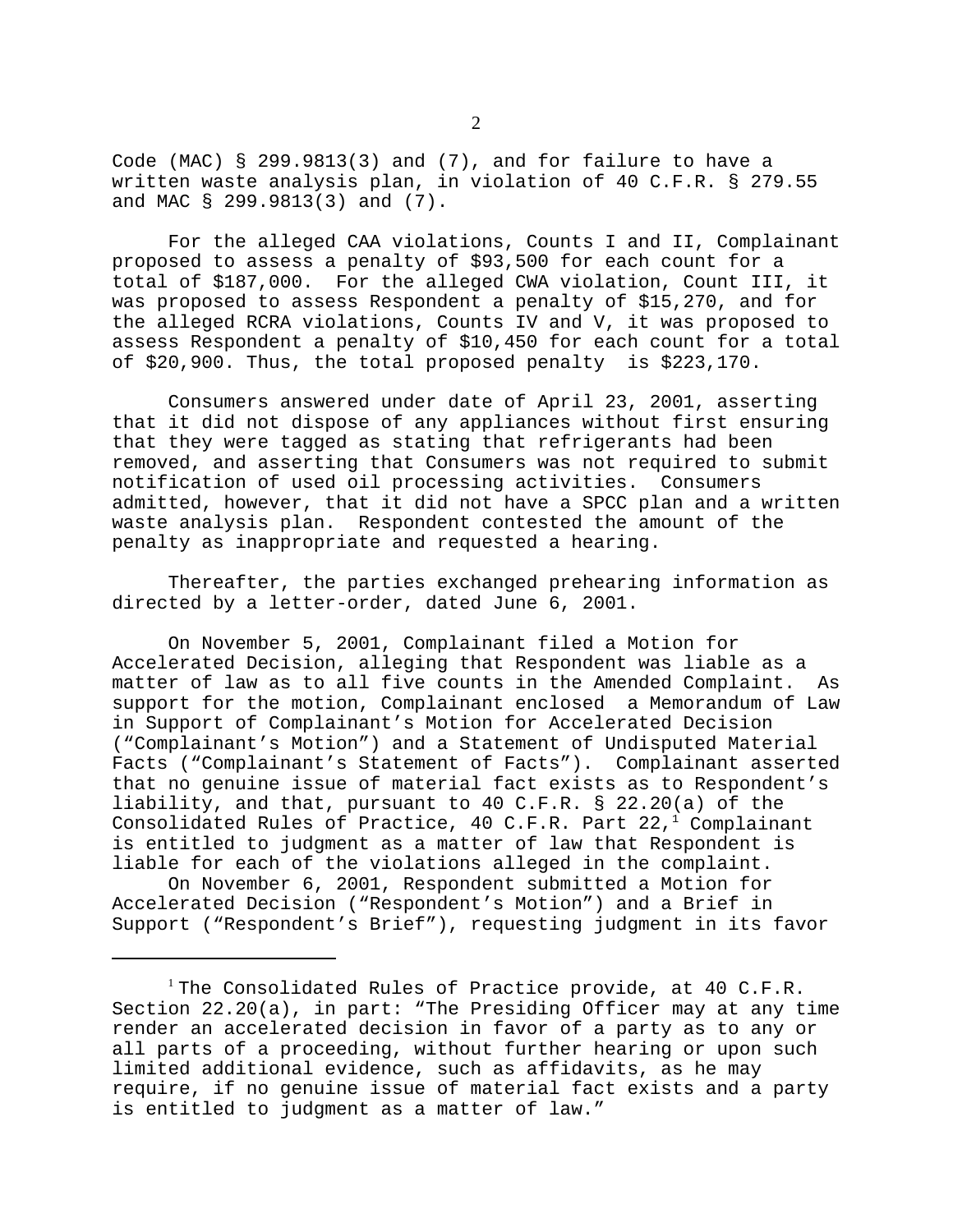Code (MAC) § 299.9813(3) and (7), and for failure to have a written waste analysis plan, in violation of 40 C.F.R. § 279.55 and MAC § 299.9813(3) and (7).

For the alleged CAA violations, Counts I and II, Complainant proposed to assess a penalty of \$93,500 for each count for a total of \$187,000. For the alleged CWA violation, Count III, it was proposed to assess Respondent a penalty of \$15,270, and for the alleged RCRA violations, Counts IV and V, it was proposed to assess Respondent a penalty of \$10,450 for each count for a total of \$20,900. Thus, the total proposed penalty is \$223,170.

Consumers answered under date of April 23, 2001, asserting that it did not dispose of any appliances without first ensuring that they were tagged as stating that refrigerants had been removed, and asserting that Consumers was not required to submit notification of used oil processing activities. Consumers admitted, however, that it did not have a SPCC plan and a written waste analysis plan. Respondent contested the amount of the penalty as inappropriate and requested a hearing.

Thereafter, the parties exchanged prehearing information as directed by a letter-order, dated June 6, 2001.

On November 5, 2001, Complainant filed a Motion for Accelerated Decision, alleging that Respondent was liable as a matter of law as to all five counts in the Amended Complaint. As support for the motion, Complainant enclosed a Memorandum of Law in Support of Complainant's Motion for Accelerated Decision ("Complainant's Motion") and a Statement of Undisputed Material Facts ("Complainant's Statement of Facts"). Complainant asserted that no genuine issue of material fact exists as to Respondent's liability, and that, pursuant to 40 C.F.R. § 22.20(a) of the Consolidated Rules of Practice,  $40$  C.F.R. Part  $22,^1$  Complainant is entitled to judgment as a matter of law that Respondent is liable for each of the violations alleged in the complaint.

On November 6, 2001, Respondent submitted a Motion for Accelerated Decision ("Respondent's Motion") and a Brief in Support ("Respondent's Brief"), requesting judgment in its favor

<sup>&</sup>lt;sup>1</sup> The Consolidated Rules of Practice provide, at 40 C.F.R. Section 22.20(a), in part: "The Presiding Officer may at any time render an accelerated decision in favor of a party as to any or all parts of a proceeding, without further hearing or upon such limited additional evidence, such as affidavits, as he may require, if no genuine issue of material fact exists and a party is entitled to judgment as a matter of law."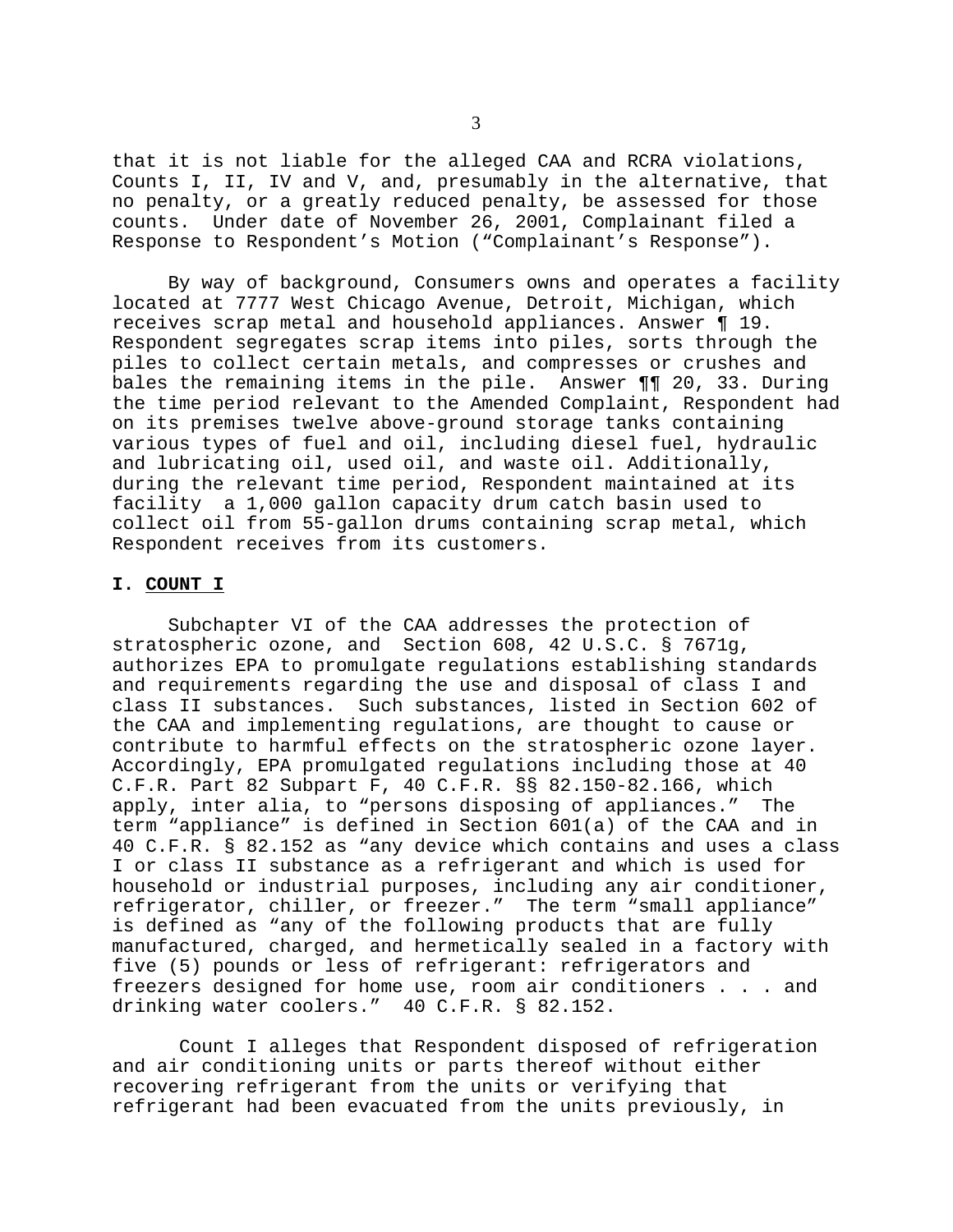that it is not liable for the alleged CAA and RCRA violations, Counts I, II, IV and V, and, presumably in the alternative, that no penalty, or a greatly reduced penalty, be assessed for those counts. Under date of November 26, 2001, Complainant filed a Response to Respondent's Motion ("Complainant's Response").

By way of background, Consumers owns and operates a facility located at 7777 West Chicago Avenue, Detroit, Michigan, which receives scrap metal and household appliances. Answer ¶ 19. Respondent segregates scrap items into piles, sorts through the piles to collect certain metals, and compresses or crushes and bales the remaining items in the pile. Answer ¶¶ 20, 33. During the time period relevant to the Amended Complaint, Respondent had on its premises twelve above-ground storage tanks containing various types of fuel and oil, including diesel fuel, hydraulic and lubricating oil, used oil, and waste oil. Additionally, during the relevant time period, Respondent maintained at its facility a 1,000 gallon capacity drum catch basin used to collect oil from 55-gallon drums containing scrap metal, which Respondent receives from its customers.

### **I. COUNT I**

Subchapter VI of the CAA addresses the protection of stratospheric ozone, and Section 608, 42 U.S.C. § 7671g, authorizes EPA to promulgate regulations establishing standards and requirements regarding the use and disposal of class I and class II substances. Such substances, listed in Section 602 of the CAA and implementing regulations, are thought to cause or contribute to harmful effects on the stratospheric ozone layer. Accordingly, EPA promulgated regulations including those at 40 C.F.R. Part 82 Subpart F, 40 C.F.R. §§ 82.150-82.166, which apply, inter alia, to "persons disposing of appliances." The term "appliance" is defined in Section 601(a) of the CAA and in 40 C.F.R. § 82.152 as "any device which contains and uses a class I or class II substance as a refrigerant and which is used for household or industrial purposes, including any air conditioner, refrigerator, chiller, or freezer." The term "small appliance" is defined as "any of the following products that are fully manufactured, charged, and hermetically sealed in a factory with five (5) pounds or less of refrigerant: refrigerators and freezers designed for home use, room air conditioners . . . and drinking water coolers." 40 C.F.R. § 82.152.

Count I alleges that Respondent disposed of refrigeration and air conditioning units or parts thereof without either recovering refrigerant from the units or verifying that refrigerant had been evacuated from the units previously, in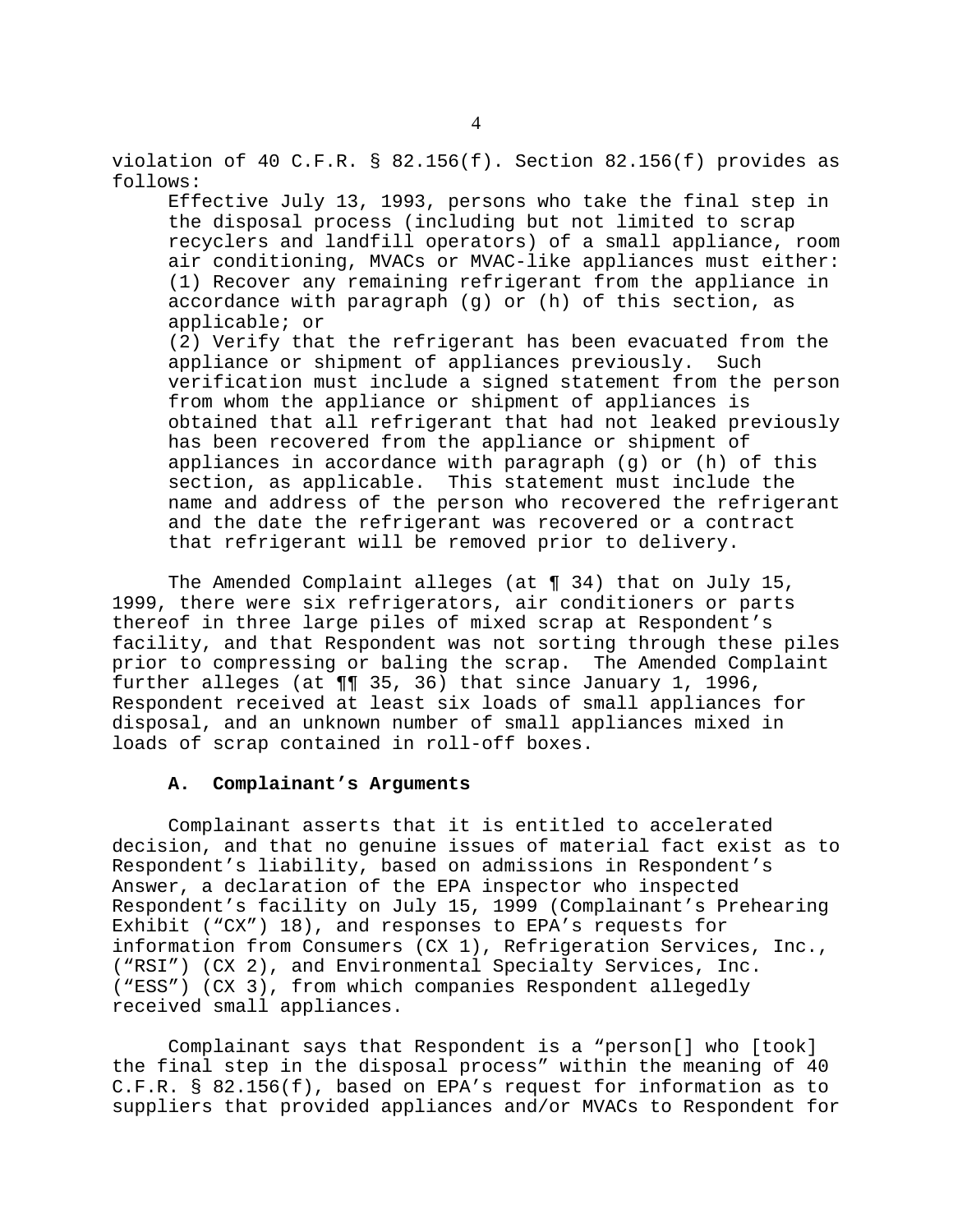violation of 40 C.F.R. § 82.156(f). Section 82.156(f) provides as follows:

Effective July 13, 1993, persons who take the final step in the disposal process (including but not limited to scrap recyclers and landfill operators) of a small appliance, room air conditioning, MVACs or MVAC-like appliances must either: (1) Recover any remaining refrigerant from the appliance in accordance with paragraph (g) or (h) of this section, as applicable; or

(2) Verify that the refrigerant has been evacuated from the appliance or shipment of appliances previously. Such verification must include a signed statement from the person from whom the appliance or shipment of appliances is obtained that all refrigerant that had not leaked previously has been recovered from the appliance or shipment of appliances in accordance with paragraph (g) or (h) of this section, as applicable. This statement must include the name and address of the person who recovered the refrigerant and the date the refrigerant was recovered or a contract that refrigerant will be removed prior to delivery.

The Amended Complaint alleges (at ¶ 34) that on July 15, 1999, there were six refrigerators, air conditioners or parts thereof in three large piles of mixed scrap at Respondent's facility, and that Respondent was not sorting through these piles prior to compressing or baling the scrap. The Amended Complaint further alleges (at ¶¶ 35, 36) that since January 1, 1996, Respondent received at least six loads of small appliances for disposal, and an unknown number of small appliances mixed in loads of scrap contained in roll-off boxes.

# **A. Complainant's Arguments**

Complainant asserts that it is entitled to accelerated decision, and that no genuine issues of material fact exist as to Respondent's liability, based on admissions in Respondent's Answer, a declaration of the EPA inspector who inspected Respondent's facility on July 15, 1999 (Complainant's Prehearing Exhibit ("CX") 18), and responses to EPA's requests for information from Consumers (CX 1), Refrigeration Services, Inc., ("RSI") (CX 2), and Environmental Specialty Services, Inc. ("ESS") (CX 3), from which companies Respondent allegedly received small appliances.

Complainant says that Respondent is a "person[] who [took] the final step in the disposal process" within the meaning of 40 C.F.R. § 82.156(f), based on EPA's request for information as to suppliers that provided appliances and/or MVACs to Respondent for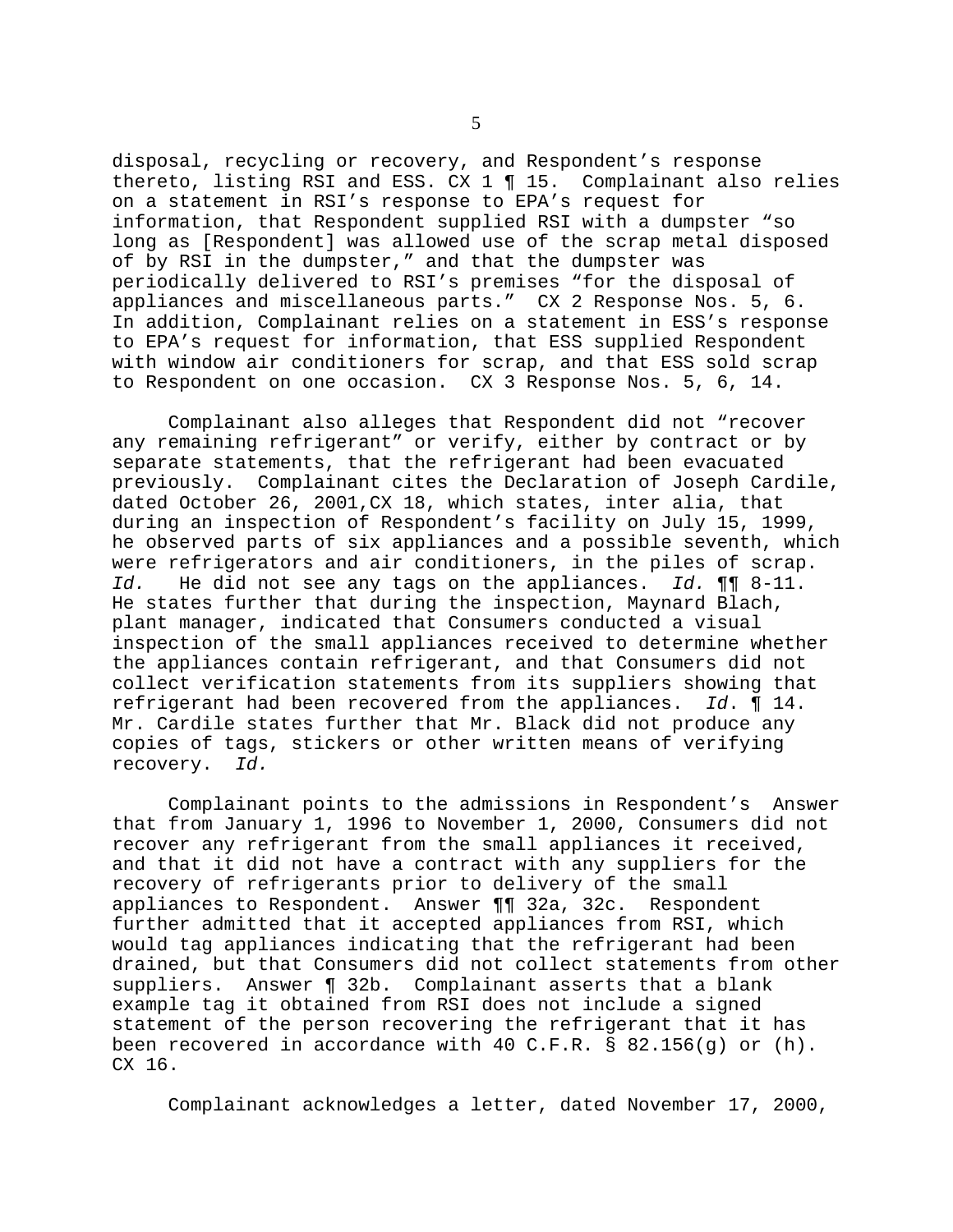disposal, recycling or recovery, and Respondent's response thereto, listing RSI and ESS. CX 1 ¶ 15. Complainant also relies on a statement in RSI's response to EPA's request for information, that Respondent supplied RSI with a dumpster "so long as [Respondent] was allowed use of the scrap metal disposed of by RSI in the dumpster," and that the dumpster was periodically delivered to RSI's premises "for the disposal of appliances and miscellaneous parts." CX 2 Response Nos. 5, 6. In addition, Complainant relies on a statement in ESS's response to EPA's request for information, that ESS supplied Respondent with window air conditioners for scrap, and that ESS sold scrap to Respondent on one occasion. CX 3 Response Nos. 5, 6, 14.

Complainant also alleges that Respondent did not "recover any remaining refrigerant" or verify, either by contract or by separate statements, that the refrigerant had been evacuated previously. Complainant cites the Declaration of Joseph Cardile, dated October 26, 2001,CX 18, which states, inter alia, that during an inspection of Respondent's facility on July 15, 1999, he observed parts of six appliances and a possible seventh, which were refrigerators and air conditioners, in the piles of scrap. *Id.* He did not see any tags on the appliances. *Id.* ¶¶ 8-11. He states further that during the inspection, Maynard Blach, plant manager, indicated that Consumers conducted a visual inspection of the small appliances received to determine whether the appliances contain refrigerant, and that Consumers did not collect verification statements from its suppliers showing that refrigerant had been recovered from the appliances. *Id*. ¶ 14. Mr. Cardile states further that Mr. Black did not produce any copies of tags, stickers or other written means of verifying recovery. *Id.* 

Complainant points to the admissions in Respondent's Answer that from January 1, 1996 to November 1, 2000, Consumers did not recover any refrigerant from the small appliances it received, and that it did not have a contract with any suppliers for the recovery of refrigerants prior to delivery of the small appliances to Respondent. Answer ¶¶ 32a, 32c. Respondent further admitted that it accepted appliances from RSI, which would tag appliances indicating that the refrigerant had been drained, but that Consumers did not collect statements from other suppliers. Answer ¶ 32b. Complainant asserts that a blank example tag it obtained from RSI does not include a signed statement of the person recovering the refrigerant that it has been recovered in accordance with 40 C.F.R. § 82.156(g) or  $(h)$ . CX 16.

Complainant acknowledges a letter, dated November 17, 2000,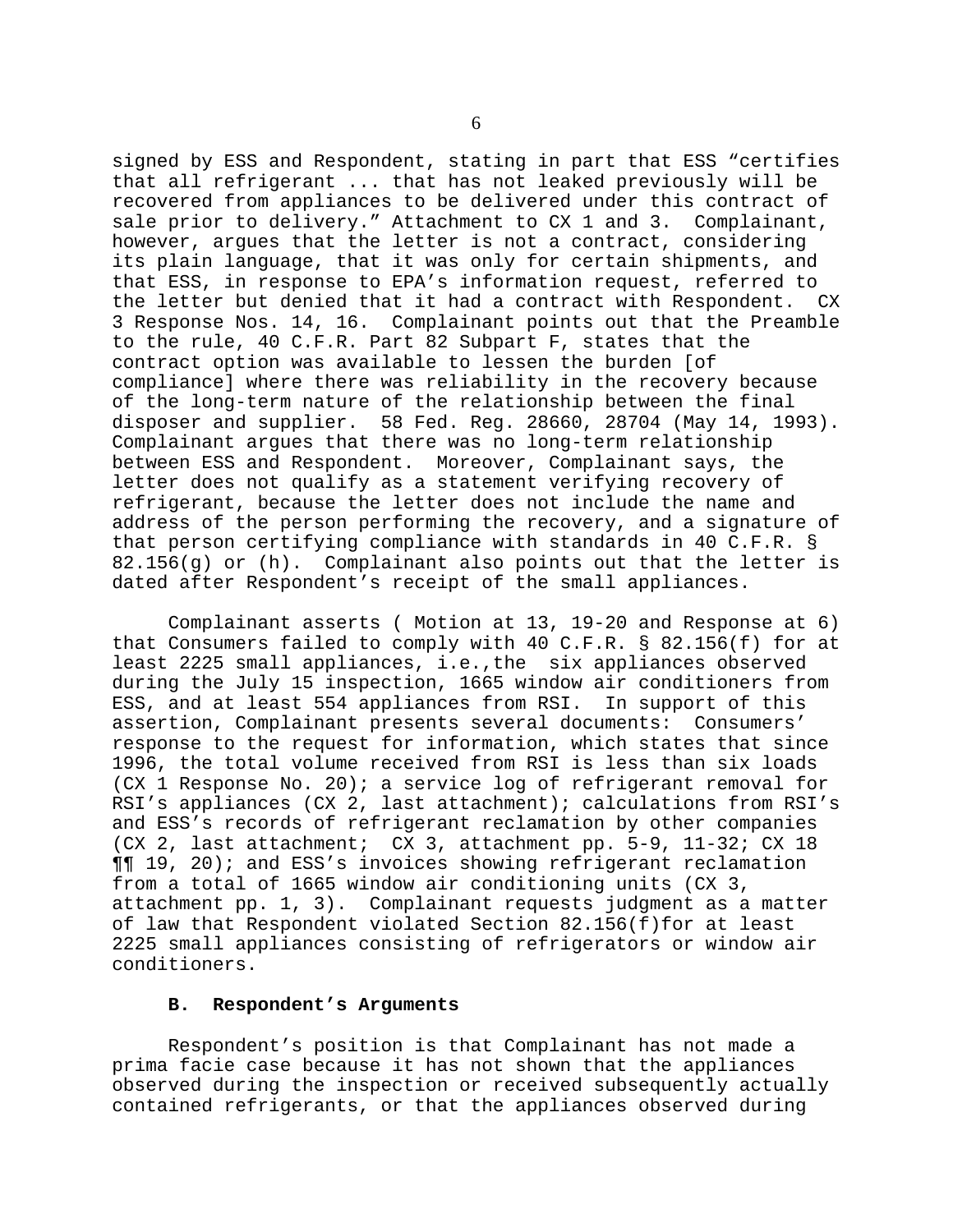signed by ESS and Respondent, stating in part that ESS "certifies that all refrigerant ... that has not leaked previously will be recovered from appliances to be delivered under this contract of sale prior to delivery." Attachment to CX 1 and 3. Complainant, however, argues that the letter is not a contract, considering its plain language, that it was only for certain shipments, and that ESS, in response to EPA's information request, referred to the letter but denied that it had a contract with Respondent. CX 3 Response Nos. 14, 16. Complainant points out that the Preamble to the rule, 40 C.F.R. Part 82 Subpart F, states that the contract option was available to lessen the burden [of compliance] where there was reliability in the recovery because of the long-term nature of the relationship between the final disposer and supplier. 58 Fed. Reg. 28660, 28704 (May 14, 1993). Complainant argues that there was no long-term relationship between ESS and Respondent. Moreover, Complainant says, the letter does not qualify as a statement verifying recovery of refrigerant, because the letter does not include the name and address of the person performing the recovery, and a signature of that person certifying compliance with standards in 40 C.F.R. § 82.156(g) or (h). Complainant also points out that the letter is dated after Respondent's receipt of the small appliances.

Complainant asserts ( Motion at 13, 19-20 and Response at 6) that Consumers failed to comply with 40 C.F.R. § 82.156(f) for at least 2225 small appliances, i.e.,the six appliances observed during the July 15 inspection, 1665 window air conditioners from ESS, and at least 554 appliances from RSI. In support of this assertion, Complainant presents several documents: Consumers' response to the request for information, which states that since 1996, the total volume received from RSI is less than six loads  $(CX_1)$  Response No. 20); a service log of refrigerant removal for RSI's appliances (CX 2, last attachment); calculations from RSI's and ESS's records of refrigerant reclamation by other companies (CX 2, last attachment; CX 3, attachment pp. 5-9, 11-32; CX 18 ¶¶ 19, 20); and ESS's invoices showing refrigerant reclamation from a total of 1665 window air conditioning units (CX 3, attachment pp. 1, 3). Complainant requests judgment as a matter of law that Respondent violated Section 82.156(f)for at least 2225 small appliances consisting of refrigerators or window air conditioners.

### **B. Respondent's Arguments**

Respondent's position is that Complainant has not made a prima facie case because it has not shown that the appliances observed during the inspection or received subsequently actually contained refrigerants, or that the appliances observed during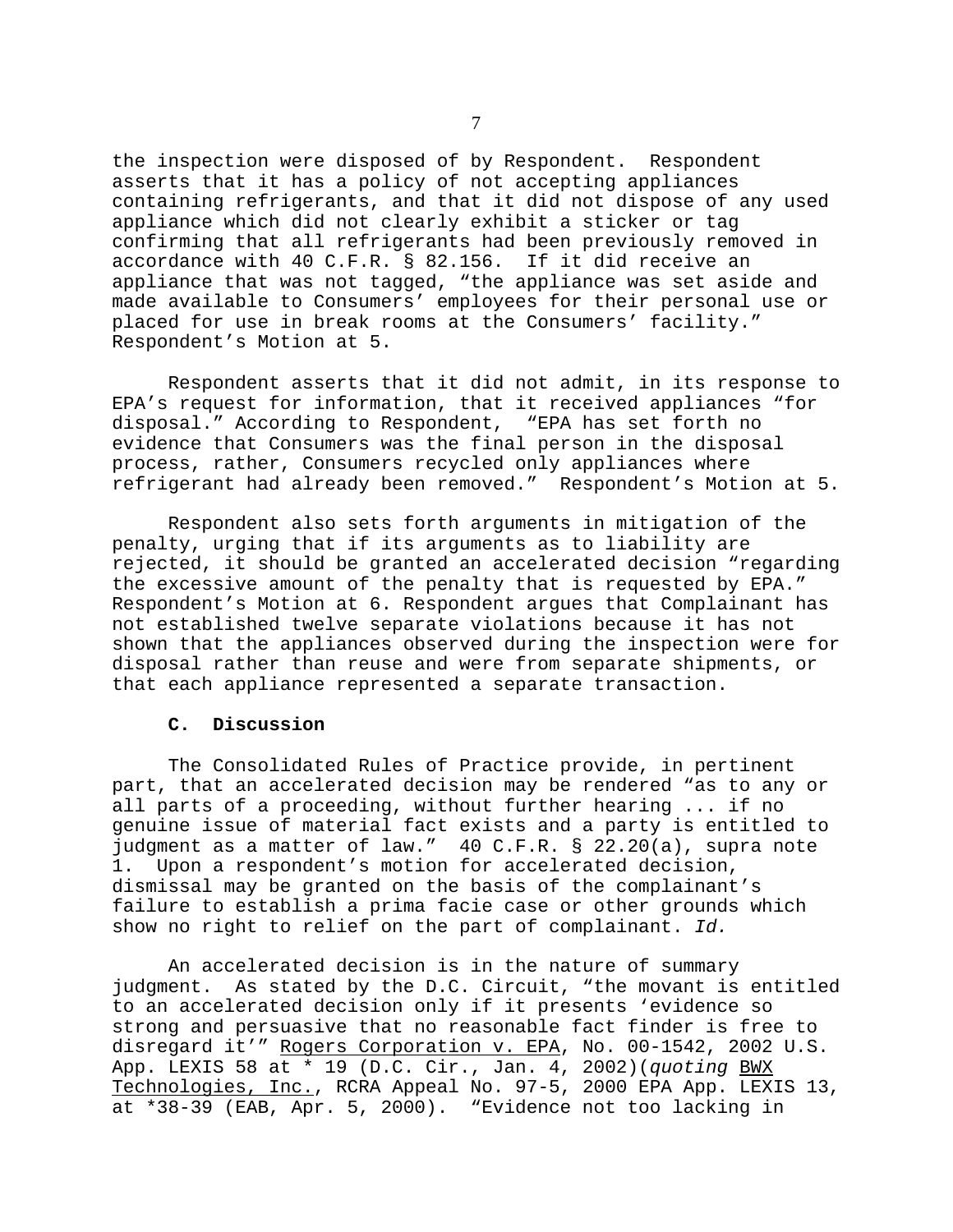the inspection were disposed of by Respondent. Respondent asserts that it has a policy of not accepting appliances containing refrigerants, and that it did not dispose of any used appliance which did not clearly exhibit a sticker or tag confirming that all refrigerants had been previously removed in accordance with 40 C.F.R. § 82.156. If it did receive an appliance that was not tagged, "the appliance was set aside and made available to Consumers' employees for their personal use or placed for use in break rooms at the Consumers' facility." Respondent's Motion at 5.

Respondent asserts that it did not admit, in its response to EPA's request for information, that it received appliances "for disposal." According to Respondent, "EPA has set forth no evidence that Consumers was the final person in the disposal process, rather, Consumers recycled only appliances where refrigerant had already been removed." Respondent's Motion at 5.

Respondent also sets forth arguments in mitigation of the penalty, urging that if its arguments as to liability are rejected, it should be granted an accelerated decision "regarding the excessive amount of the penalty that is requested by EPA." Respondent's Motion at 6. Respondent argues that Complainant has not established twelve separate violations because it has not shown that the appliances observed during the inspection were for disposal rather than reuse and were from separate shipments, or that each appliance represented a separate transaction.

## **C. Discussion**

The Consolidated Rules of Practice provide, in pertinent part, that an accelerated decision may be rendered "as to any or all parts of a proceeding, without further hearing ... if no genuine issue of material fact exists and a party is entitled to judgment as a matter of law." 40 C.F.R. § 22.20(a), supra note 1. Upon a respondent's motion for accelerated decision, dismissal may be granted on the basis of the complainant's failure to establish a prima facie case or other grounds which show no right to relief on the part of complainant. *Id.* 

An accelerated decision is in the nature of summary judgment. As stated by the D.C. Circuit, "the movant is entitled to an accelerated decision only if it presents 'evidence so strong and persuasive that no reasonable fact finder is free to disregard it'" Rogers Corporation v. EPA, No. 00-1542, 2002 U.S. App. LEXIS 58 at \* 19 (D.C. Cir., Jan. 4, 2002)(*quoting* BWX Technologies, Inc., RCRA Appeal No. 97-5, 2000 EPA App. LEXIS 13, at \*38-39 (EAB, Apr. 5, 2000). "Evidence not too lacking in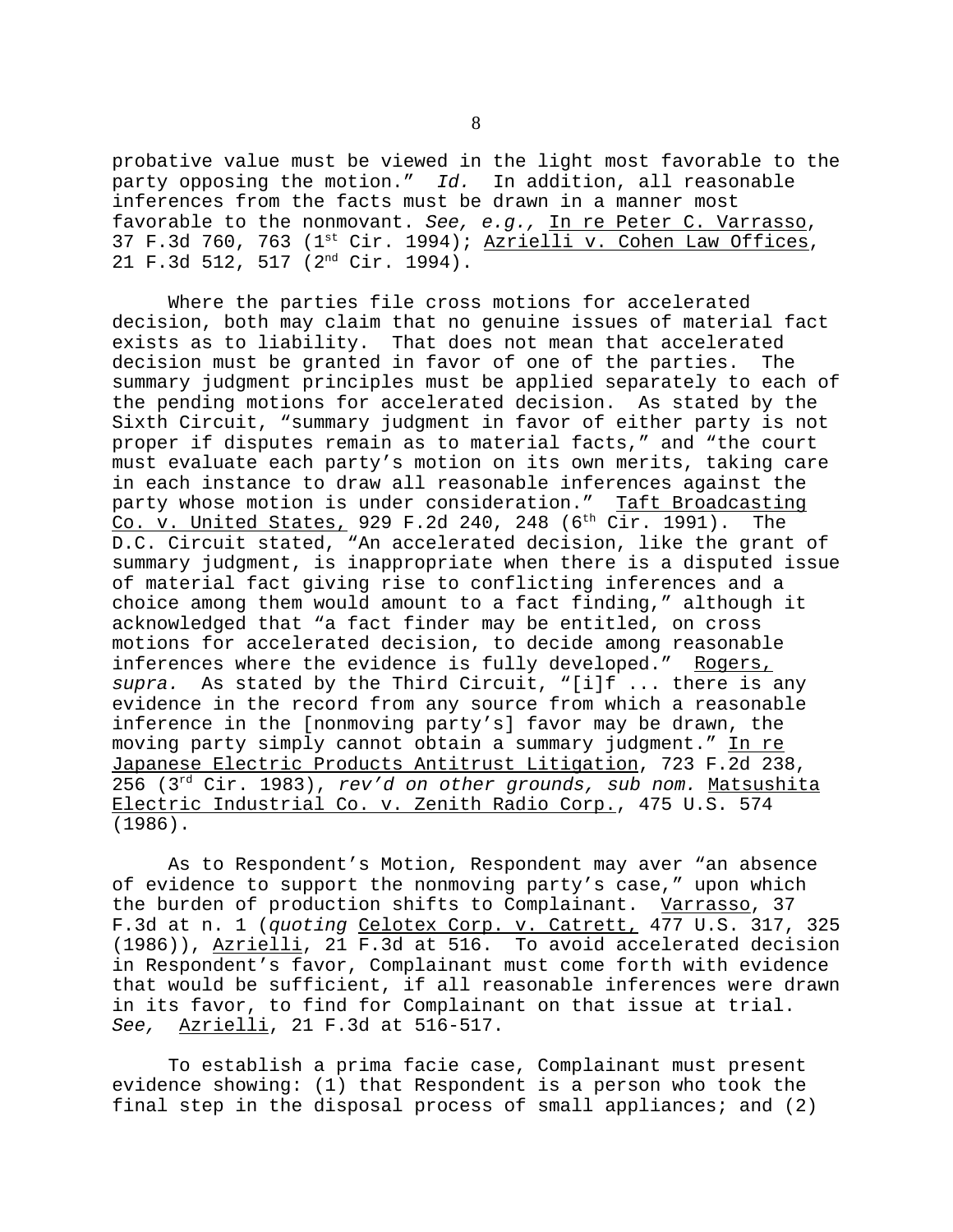probative value must be viewed in the light most favorable to the party opposing the motion." *Id.* In addition, all reasonable inferences from the facts must be drawn in a manner most favorable to the nonmovant. *See, e.g.,* In re Peter C. Varrasso, 37 F.3d 760, 763 ( $1<sup>st</sup> Cir. 1994$ ); Azrielli v. Cohen Law Offices, 21 F.3d 512, 517 (2nd Cir. 1994).

Where the parties file cross motions for accelerated decision, both may claim that no genuine issues of material fact exists as to liability. That does not mean that accelerated decision must be granted in favor of one of the parties. The summary judgment principles must be applied separately to each of the pending motions for accelerated decision. As stated by the Sixth Circuit, "summary judgment in favor of either party is not proper if disputes remain as to material facts," and "the court must evaluate each party's motion on its own merits, taking care in each instance to draw all reasonable inferences against the party whose motion is under consideration." Taft Broadcasting Co. v. United States, 929 F.2d 240, 248  $(6<sup>th</sup> Cir. 1991)$ . The D.C. Circuit stated, "An accelerated decision, like the grant of summary judgment, is inappropriate when there is a disputed issue of material fact giving rise to conflicting inferences and a choice among them would amount to a fact finding," although it acknowledged that "a fact finder may be entitled, on cross motions for accelerated decision, to decide among reasonable inferences where the evidence is fully developed." Rogers, *supra.* As stated by the Third Circuit, "[i]f ... there is any evidence in the record from any source from which a reasonable inference in the [nonmoving party's] favor may be drawn, the moving party simply cannot obtain a summary judgment." In re Japanese Electric Products Antitrust Litigation, 723 F.2d 238, 256 (3rd Cir. 1983), *rev'd on other grounds, sub nom.* Matsushita Electric Industrial Co. v. Zenith Radio Corp., 475 U.S. 574 (1986).

As to Respondent's Motion, Respondent may aver "an absence of evidence to support the nonmoving party's case," upon which the burden of production shifts to Complainant. Varrasso, 37 F.3d at n. 1 (*quoting* Celotex Corp. v. Catrett, 477 U.S. 317, 325 (1986)), Azrielli, 21 F.3d at 516. To avoid accelerated decision in Respondent's favor, Complainant must come forth with evidence that would be sufficient, if all reasonable inferences were drawn in its favor, to find for Complainant on that issue at trial. *See,* Azrielli, 21 F.3d at 516-517.

To establish a prima facie case, Complainant must present evidence showing: (1) that Respondent is a person who took the final step in the disposal process of small appliances; and (2)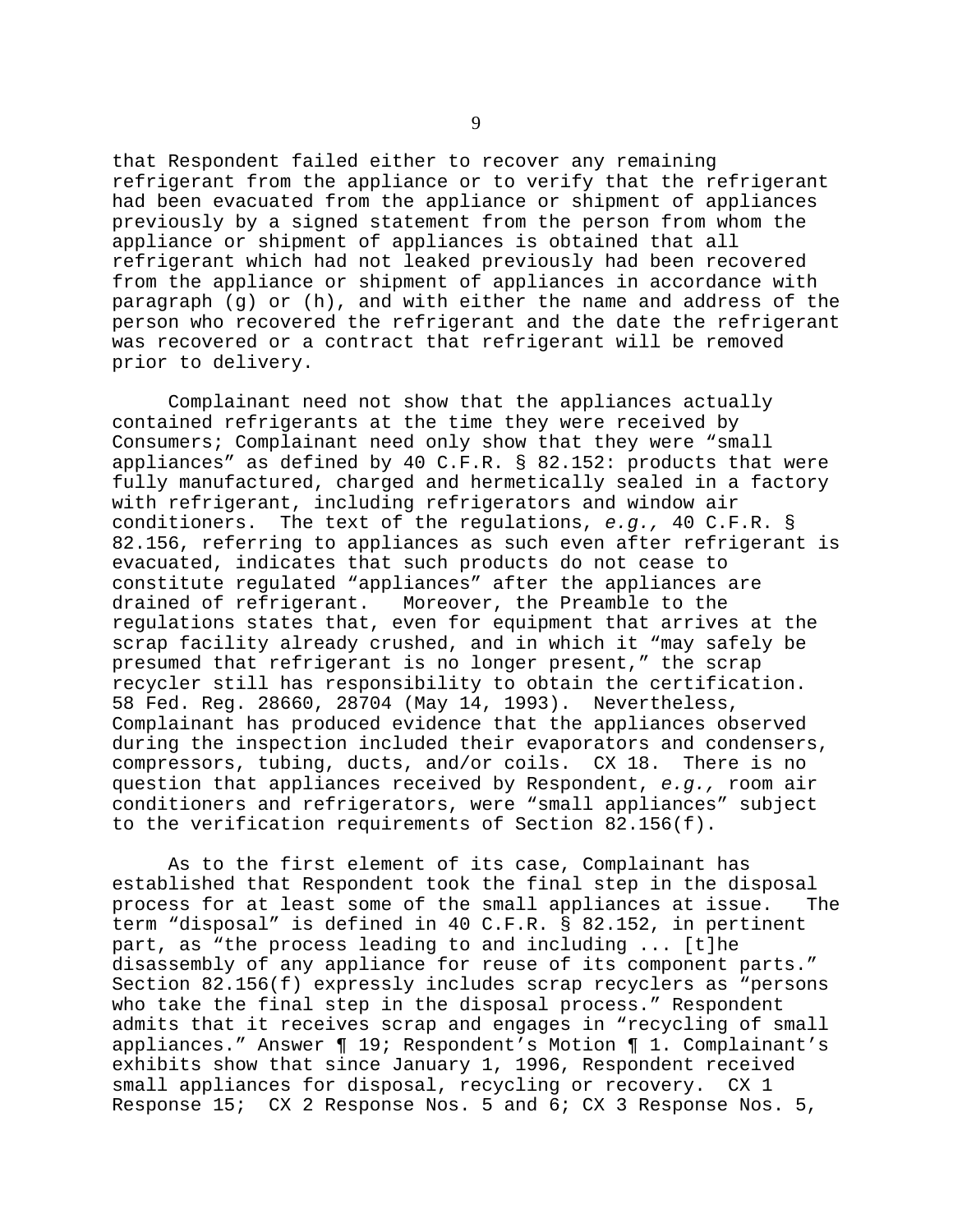that Respondent failed either to recover any remaining refrigerant from the appliance or to verify that the refrigerant had been evacuated from the appliance or shipment of appliances previously by a signed statement from the person from whom the appliance or shipment of appliances is obtained that all refrigerant which had not leaked previously had been recovered from the appliance or shipment of appliances in accordance with paragraph (g) or (h), and with either the name and address of the person who recovered the refrigerant and the date the refrigerant was recovered or a contract that refrigerant will be removed prior to delivery.

Complainant need not show that the appliances actually contained refrigerants at the time they were received by Consumers; Complainant need only show that they were "small appliances" as defined by 40 C.F.R. § 82.152: products that were fully manufactured, charged and hermetically sealed in a factory with refrigerant, including refrigerators and window air conditioners. The text of the regulations, *e.g.,* 40 C.F.R. § 82.156, referring to appliances as such even after refrigerant is evacuated, indicates that such products do not cease to constitute regulated "appliances" after the appliances are drained of refrigerant. Moreover, the Preamble to the regulations states that, even for equipment that arrives at the scrap facility already crushed, and in which it "may safely be presumed that refrigerant is no longer present," the scrap recycler still has responsibility to obtain the certification. 58 Fed. Reg. 28660, 28704 (May 14, 1993). Nevertheless, Complainant has produced evidence that the appliances observed during the inspection included their evaporators and condensers, compressors, tubing, ducts, and/or coils. CX 18. There is no question that appliances received by Respondent, *e.g.,* room air conditioners and refrigerators, were "small appliances" subject to the verification requirements of Section 82.156(f).

As to the first element of its case, Complainant has established that Respondent took the final step in the disposal process for at least some of the small appliances at issue. The term "disposal" is defined in 40 C.F.R. § 82.152, in pertinent part, as "the process leading to and including ... [t]he disassembly of any appliance for reuse of its component parts." Section 82.156(f) expressly includes scrap recyclers as "persons who take the final step in the disposal process." Respondent admits that it receives scrap and engages in "recycling of small appliances." Answer ¶ 19; Respondent's Motion ¶ 1. Complainant's exhibits show that since January 1, 1996, Respondent received small appliances for disposal, recycling or recovery. CX 1 Response 15; CX 2 Response Nos. 5 and 6; CX 3 Response Nos. 5,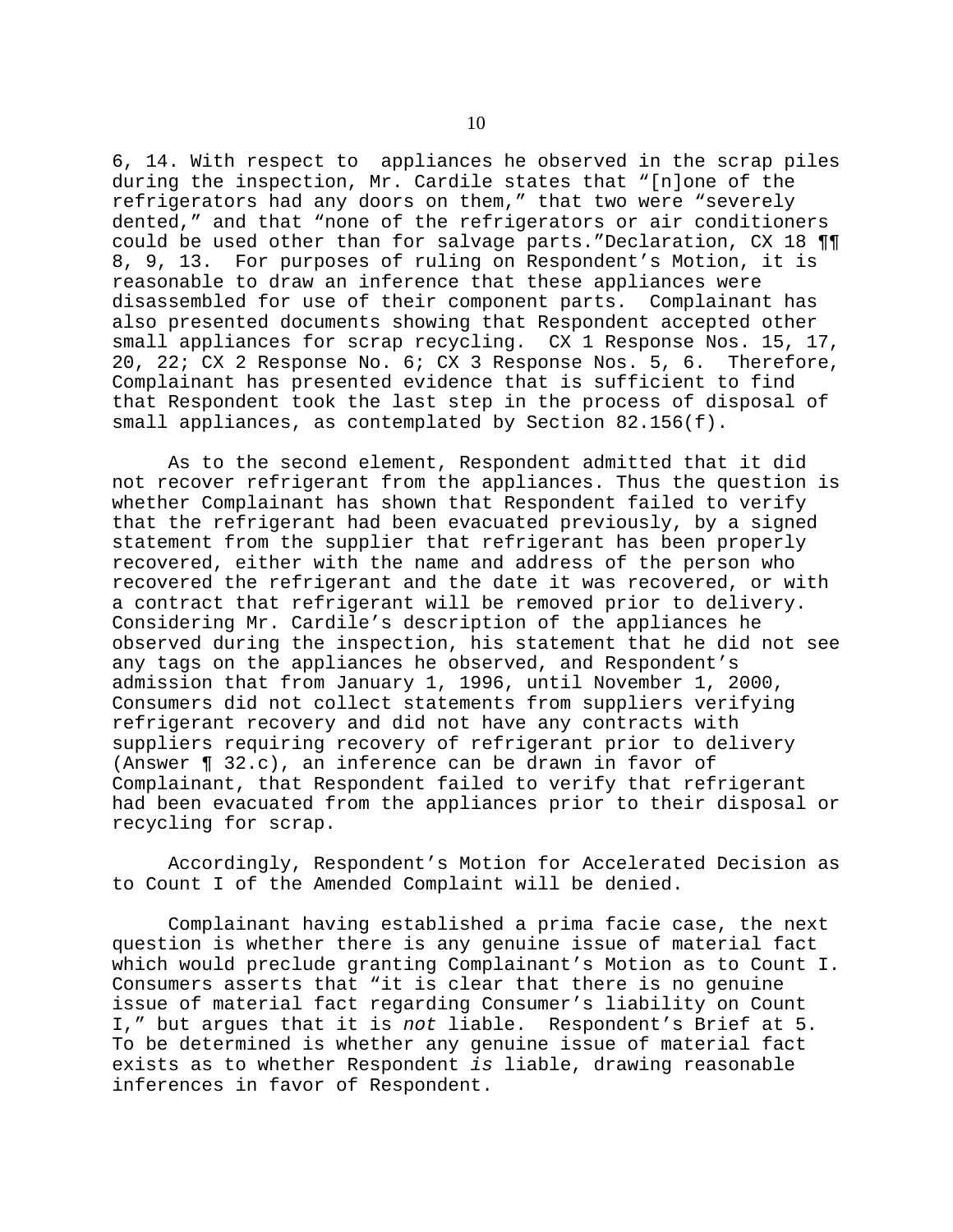6, 14. With respect to appliances he observed in the scrap piles during the inspection, Mr. Cardile states that "[n]one of the refrigerators had any doors on them," that two were "severely dented," and that "none of the refrigerators or air conditioners could be used other than for salvage parts."Declaration, CX 18 ¶¶ 8, 9, 13. For purposes of ruling on Respondent's Motion, it is reasonable to draw an inference that these appliances were disassembled for use of their component parts. Complainant has also presented documents showing that Respondent accepted other small appliances for scrap recycling. CX 1 Response Nos. 15, 17, 20, 22; CX 2 Response No. 6; CX 3 Response Nos. 5, 6. Therefore, Complainant has presented evidence that is sufficient to find that Respondent took the last step in the process of disposal of small appliances, as contemplated by Section 82.156(f).

As to the second element, Respondent admitted that it did not recover refrigerant from the appliances. Thus the question is whether Complainant has shown that Respondent failed to verify that the refrigerant had been evacuated previously, by a signed statement from the supplier that refrigerant has been properly recovered, either with the name and address of the person who recovered the refrigerant and the date it was recovered, or with a contract that refrigerant will be removed prior to delivery. Considering Mr. Cardile's description of the appliances he observed during the inspection, his statement that he did not see any tags on the appliances he observed, and Respondent's admission that from January 1, 1996, until November 1, 2000, Consumers did not collect statements from suppliers verifying refrigerant recovery and did not have any contracts with suppliers requiring recovery of refrigerant prior to delivery (Answer ¶ 32.c), an inference can be drawn in favor of Complainant, that Respondent failed to verify that refrigerant had been evacuated from the appliances prior to their disposal or recycling for scrap.

Accordingly, Respondent's Motion for Accelerated Decision as to Count I of the Amended Complaint will be denied.

Complainant having established a prima facie case, the next question is whether there is any genuine issue of material fact which would preclude granting Complainant's Motion as to Count I. Consumers asserts that "it is clear that there is no genuine issue of material fact regarding Consumer's liability on Count I," but argues that it is *not* liable. Respondent's Brief at 5. To be determined is whether any genuine issue of material fact exists as to whether Respondent *is* liable, drawing reasonable inferences in favor of Respondent.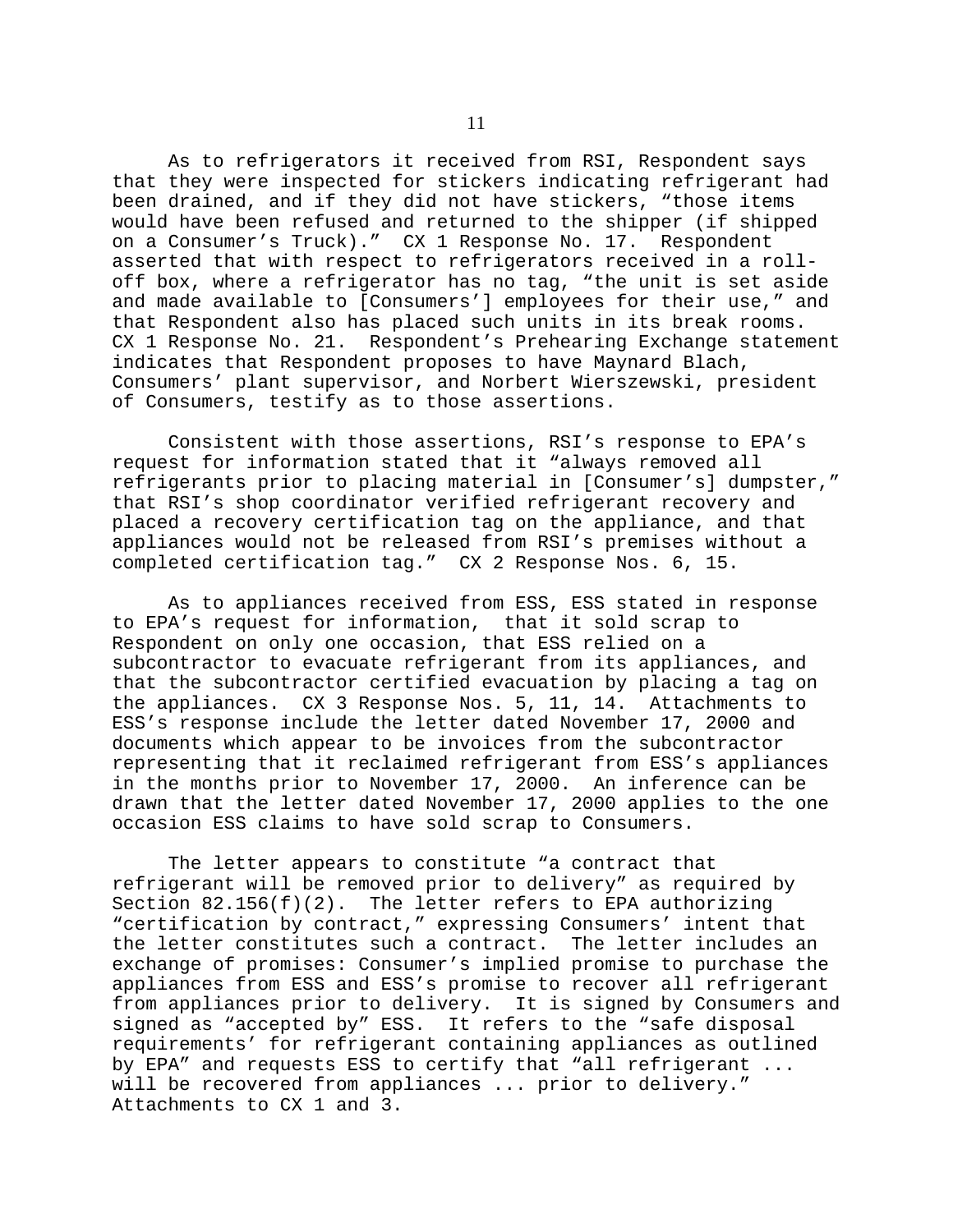As to refrigerators it received from RSI, Respondent says that they were inspected for stickers indicating refrigerant had been drained, and if they did not have stickers, "those items would have been refused and returned to the shipper (if shipped on a Consumer's Truck)." CX 1 Response No. 17. Respondent asserted that with respect to refrigerators received in a rolloff box, where a refrigerator has no tag, "the unit is set aside and made available to [Consumers'] employees for their use," and that Respondent also has placed such units in its break rooms. CX 1 Response No. 21. Respondent's Prehearing Exchange statement indicates that Respondent proposes to have Maynard Blach, Consumers' plant supervisor, and Norbert Wierszewski, president of Consumers, testify as to those assertions.

Consistent with those assertions, RSI's response to EPA's request for information stated that it "always removed all refrigerants prior to placing material in [Consumer's] dumpster," that RSI's shop coordinator verified refrigerant recovery and placed a recovery certification tag on the appliance, and that appliances would not be released from RSI's premises without a completed certification tag." CX 2 Response Nos. 6, 15.

As to appliances received from ESS, ESS stated in response to EPA's request for information, that it sold scrap to Respondent on only one occasion, that ESS relied on a subcontractor to evacuate refrigerant from its appliances, and that the subcontractor certified evacuation by placing a tag on the appliances. CX 3 Response Nos. 5, 11, 14. Attachments to ESS's response include the letter dated November 17, 2000 and documents which appear to be invoices from the subcontractor representing that it reclaimed refrigerant from ESS's appliances in the months prior to November 17, 2000. An inference can be drawn that the letter dated November 17, 2000 applies to the one occasion ESS claims to have sold scrap to Consumers.

The letter appears to constitute "a contract that refrigerant will be removed prior to delivery" as required by Section 82.156(f)(2). The letter refers to EPA authorizing "certification by contract," expressing Consumers' intent that the letter constitutes such a contract. The letter includes an exchange of promises: Consumer's implied promise to purchase the appliances from ESS and ESS's promise to recover all refrigerant from appliances prior to delivery. It is signed by Consumers and signed as "accepted by" ESS. It refers to the "safe disposal requirements' for refrigerant containing appliances as outlined by EPA" and requests ESS to certify that "all refrigerant ... will be recovered from appliances ... prior to delivery." Attachments to CX 1 and 3.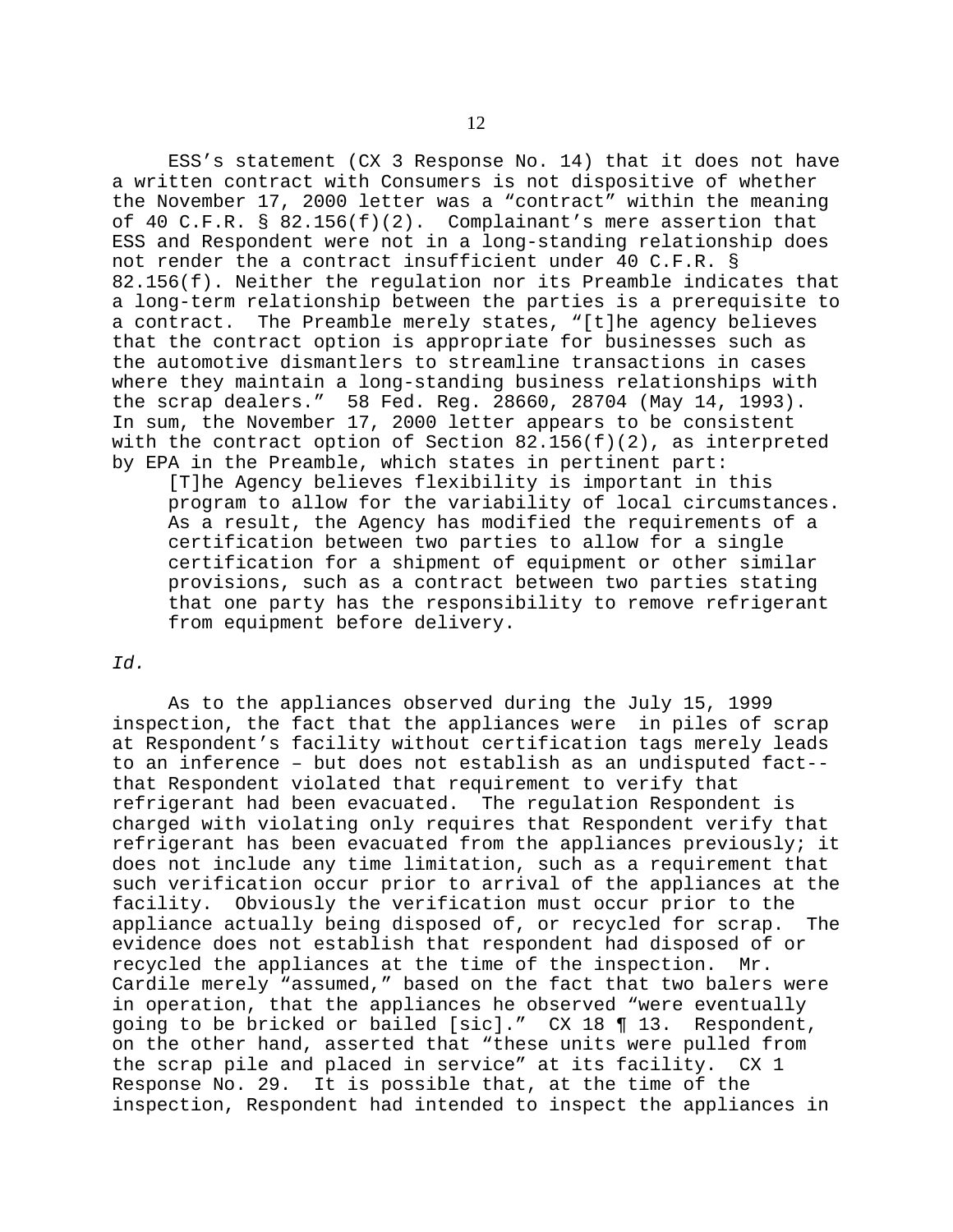ESS's statement (CX 3 Response No. 14) that it does not have a written contract with Consumers is not dispositive of whether the November 17, 2000 letter was a "contract" within the meaning of 40 C.F.R. §  $82.156(f)(2)$ . Complainant's mere assertion that ESS and Respondent were not in a long-standing relationship does not render the a contract insufficient under 40 C.F.R. § 82.156(f). Neither the regulation nor its Preamble indicates that a long-term relationship between the parties is a prerequisite to a contract. The Preamble merely states, "[t]he agency believes that the contract option is appropriate for businesses such as the automotive dismantlers to streamline transactions in cases where they maintain a long-standing business relationships with the scrap dealers." 58 Fed. Reg. 28660, 28704 (May 14, 1993). In sum, the November 17, 2000 letter appears to be consistent with the contract option of Section  $82.156(f)(2)$ , as interpreted by EPA in the Preamble, which states in pertinent part:

[T]he Agency believes flexibility is important in this program to allow for the variability of local circumstances. As a result, the Agency has modified the requirements of a certification between two parties to allow for a single certification for a shipment of equipment or other similar provisions, such as a contract between two parties stating that one party has the responsibility to remove refrigerant from equipment before delivery.

### *Id.*

As to the appliances observed during the July 15, 1999 inspection, the fact that the appliances were in piles of scrap at Respondent's facility without certification tags merely leads to an inference – but does not establish as an undisputed fact that Respondent violated that requirement to verify that refrigerant had been evacuated. The regulation Respondent is charged with violating only requires that Respondent verify that refrigerant has been evacuated from the appliances previously; it does not include any time limitation, such as a requirement that such verification occur prior to arrival of the appliances at the facility. Obviously the verification must occur prior to the appliance actually being disposed of, or recycled for scrap. The evidence does not establish that respondent had disposed of or recycled the appliances at the time of the inspection. Mr. Cardile merely "assumed," based on the fact that two balers were in operation, that the appliances he observed "were eventually going to be bricked or bailed [sic]." CX 18 ¶ 13. Respondent, on the other hand, asserted that "these units were pulled from the scrap pile and placed in service" at its facility. CX 1 Response No. 29. It is possible that, at the time of the inspection, Respondent had intended to inspect the appliances in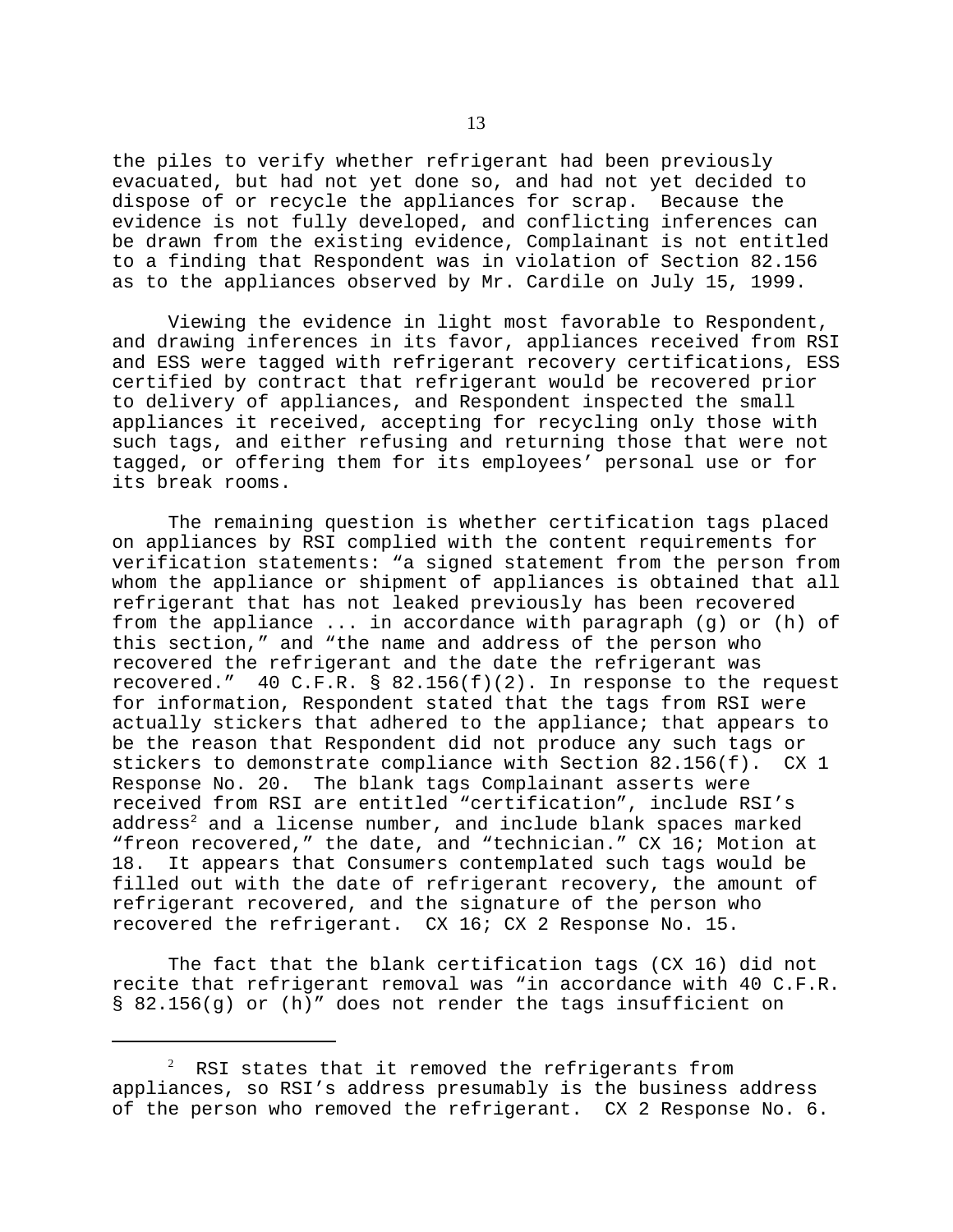the piles to verify whether refrigerant had been previously evacuated, but had not yet done so, and had not yet decided to dispose of or recycle the appliances for scrap. Because the evidence is not fully developed, and conflicting inferences can be drawn from the existing evidence, Complainant is not entitled to a finding that Respondent was in violation of Section 82.156 as to the appliances observed by Mr. Cardile on July 15, 1999.

Viewing the evidence in light most favorable to Respondent, and drawing inferences in its favor, appliances received from RSI and ESS were tagged with refrigerant recovery certifications, ESS certified by contract that refrigerant would be recovered prior to delivery of appliances, and Respondent inspected the small appliances it received, accepting for recycling only those with such tags, and either refusing and returning those that were not tagged, or offering them for its employees' personal use or for its break rooms.

The remaining question is whether certification tags placed on appliances by RSI complied with the content requirements for verification statements: "a signed statement from the person from whom the appliance or shipment of appliances is obtained that all refrigerant that has not leaked previously has been recovered from the appliance ... in accordance with paragraph (g) or (h) of this section," and "the name and address of the person who recovered the refrigerant and the date the refrigerant was recovered." 40 C.F.R. § 82.156(f)(2). In response to the request for information, Respondent stated that the tags from RSI were actually stickers that adhered to the appliance; that appears to be the reason that Respondent did not produce any such tags or stickers to demonstrate compliance with Section 82.156(f). CX 1 Response No. 20. The blank tags Complainant asserts were received from RSI are entitled "certification", include RSI's  $address<sup>2</sup>$  and a license number, and include blank spaces marked "freon recovered," the date, and "technician." CX 16; Motion at 18. It appears that Consumers contemplated such tags would be filled out with the date of refrigerant recovery, the amount of refrigerant recovered, and the signature of the person who recovered the refrigerant. CX 16; CX 2 Response No. 15.

The fact that the blank certification tags (CX 16) did not recite that refrigerant removal was "in accordance with 40 C.F.R. § 82.156(g) or (h)" does not render the tags insufficient on

 $2$  RSI states that it removed the refrigerants from appliances, so RSI's address presumably is the business address of the person who removed the refrigerant. CX 2 Response No. 6.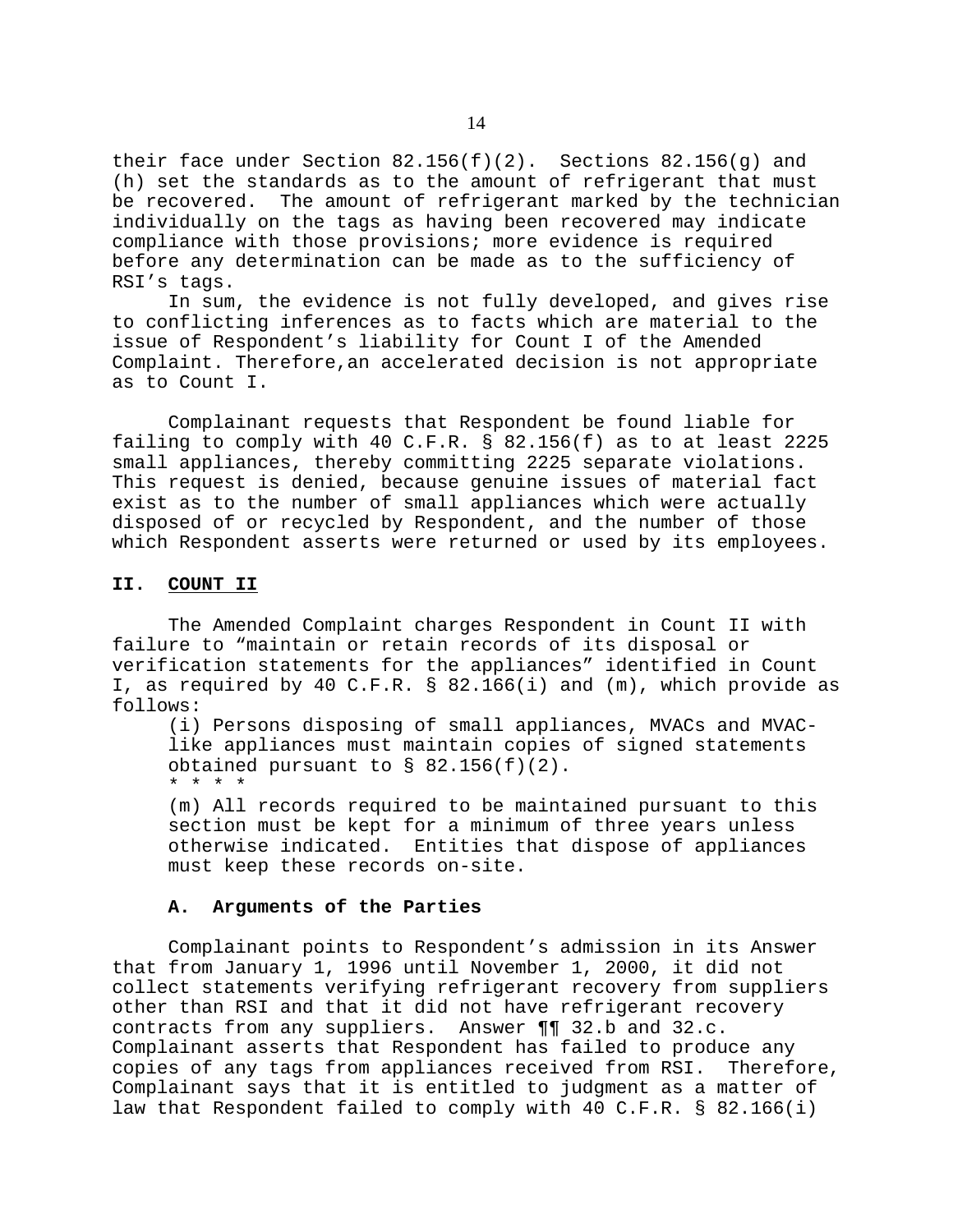their face under Section  $82.156(f)(2)$ . Sections  $82.156(g)$  and (h) set the standards as to the amount of refrigerant that must be recovered. The amount of refrigerant marked by the technician individually on the tags as having been recovered may indicate compliance with those provisions; more evidence is required before any determination can be made as to the sufficiency of RSI's tags.

In sum, the evidence is not fully developed, and gives rise to conflicting inferences as to facts which are material to the issue of Respondent's liability for Count I of the Amended Complaint. Therefore,an accelerated decision is not appropriate as to Count I.

Complainant requests that Respondent be found liable for failing to comply with 40 C.F.R. § 82.156(f) as to at least 2225 small appliances, thereby committing 2225 separate violations. This request is denied, because genuine issues of material fact exist as to the number of small appliances which were actually disposed of or recycled by Respondent, and the number of those which Respondent asserts were returned or used by its employees.

### **II. COUNT II**

The Amended Complaint charges Respondent in Count II with failure to "maintain or retain records of its disposal or verification statements for the appliances" identified in Count I, as required by 40 C.F.R. § 82.166(i) and (m), which provide as follows:

(i) Persons disposing of small appliances, MVACs and MVAClike appliances must maintain copies of signed statements obtained pursuant to  $\S$  82.156(f)(2). \* \* \* \*

(m) All records required to be maintained pursuant to this section must be kept for a minimum of three years unless otherwise indicated. Entities that dispose of appliances must keep these records on-site.

# **A. Arguments of the Parties**

Complainant points to Respondent's admission in its Answer that from January 1, 1996 until November 1, 2000, it did not collect statements verifying refrigerant recovery from suppliers other than RSI and that it did not have refrigerant recovery contracts from any suppliers. Answer ¶¶ 32.b and 32.c. Complainant asserts that Respondent has failed to produce any copies of any tags from appliances received from RSI. Therefore, Complainant says that it is entitled to judgment as a matter of law that Respondent failed to comply with 40 C.F.R. § 82.166(i)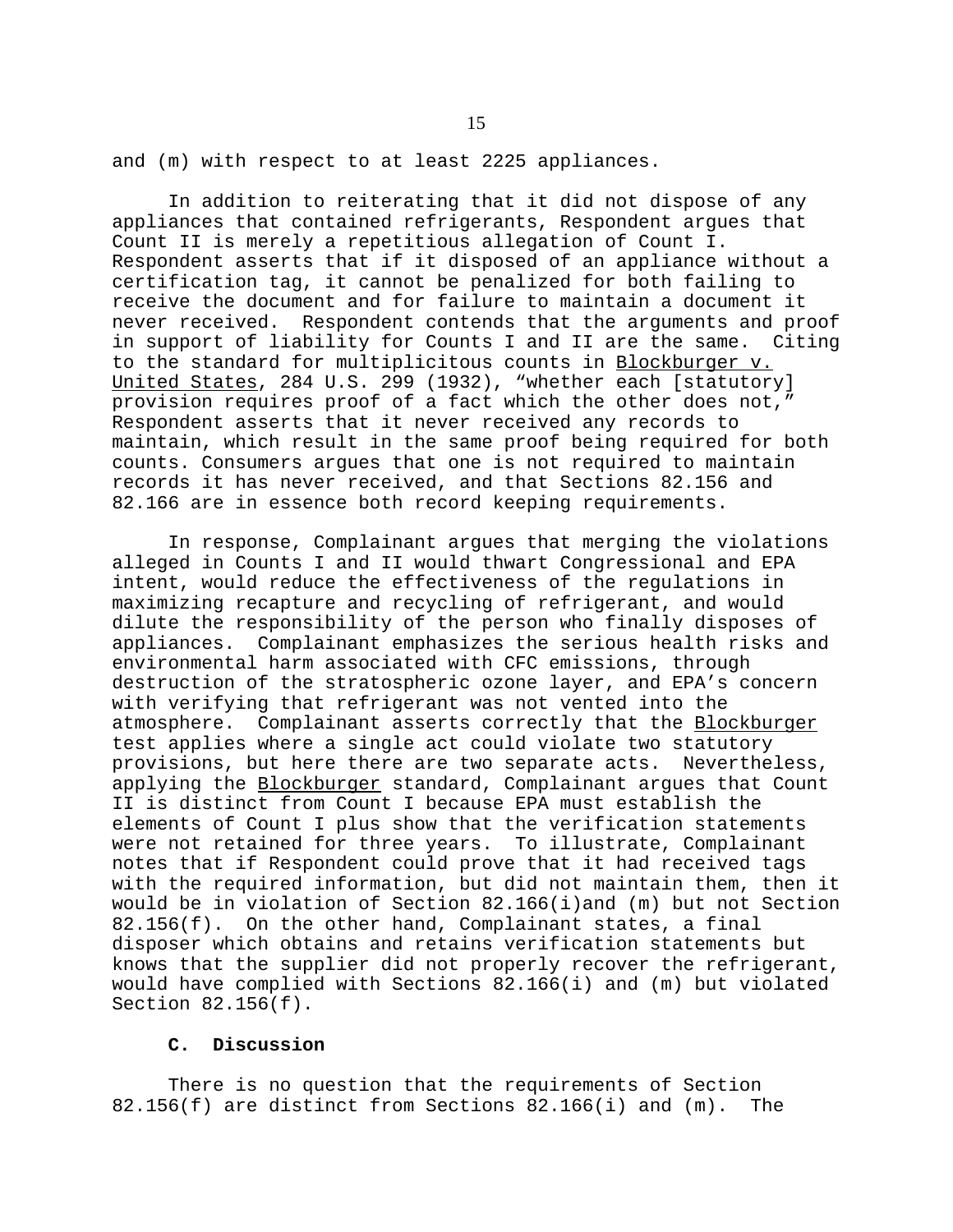and (m) with respect to at least 2225 appliances.

In addition to reiterating that it did not dispose of any appliances that contained refrigerants, Respondent argues that Count II is merely a repetitious allegation of Count I. Respondent asserts that if it disposed of an appliance without a certification tag, it cannot be penalized for both failing to receive the document and for failure to maintain a document it never received. Respondent contends that the arguments and proof in support of liability for Counts I and II are the same. Citing to the standard for multiplicitous counts in Blockburger v. United States, 284 U.S. 299 (1932), "whether each [statutory] provision requires proof of a fact which the other does not," Respondent asserts that it never received any records to maintain, which result in the same proof being required for both counts. Consumers argues that one is not required to maintain records it has never received, and that Sections 82.156 and 82.166 are in essence both record keeping requirements.

In response, Complainant argues that merging the violations alleged in Counts I and II would thwart Congressional and EPA intent, would reduce the effectiveness of the regulations in maximizing recapture and recycling of refrigerant, and would dilute the responsibility of the person who finally disposes of appliances. Complainant emphasizes the serious health risks and environmental harm associated with CFC emissions, through destruction of the stratospheric ozone layer, and EPA's concern with verifying that refrigerant was not vented into the atmosphere. Complainant asserts correctly that the Blockburger test applies where a single act could violate two statutory provisions, but here there are two separate acts. Nevertheless, applying the Blockburger standard, Complainant argues that Count II is distinct from Count I because EPA must establish the elements of Count I plus show that the verification statements were not retained for three years. To illustrate, Complainant notes that if Respondent could prove that it had received tags with the required information, but did not maintain them, then it would be in violation of Section 82.166(i)and (m) but not Section 82.156(f). On the other hand, Complainant states, a final disposer which obtains and retains verification statements but knows that the supplier did not properly recover the refrigerant, would have complied with Sections 82.166(i) and (m) but violated Section 82.156(f).

# **C. Discussion**

There is no question that the requirements of Section 82.156(f) are distinct from Sections 82.166(i) and (m). The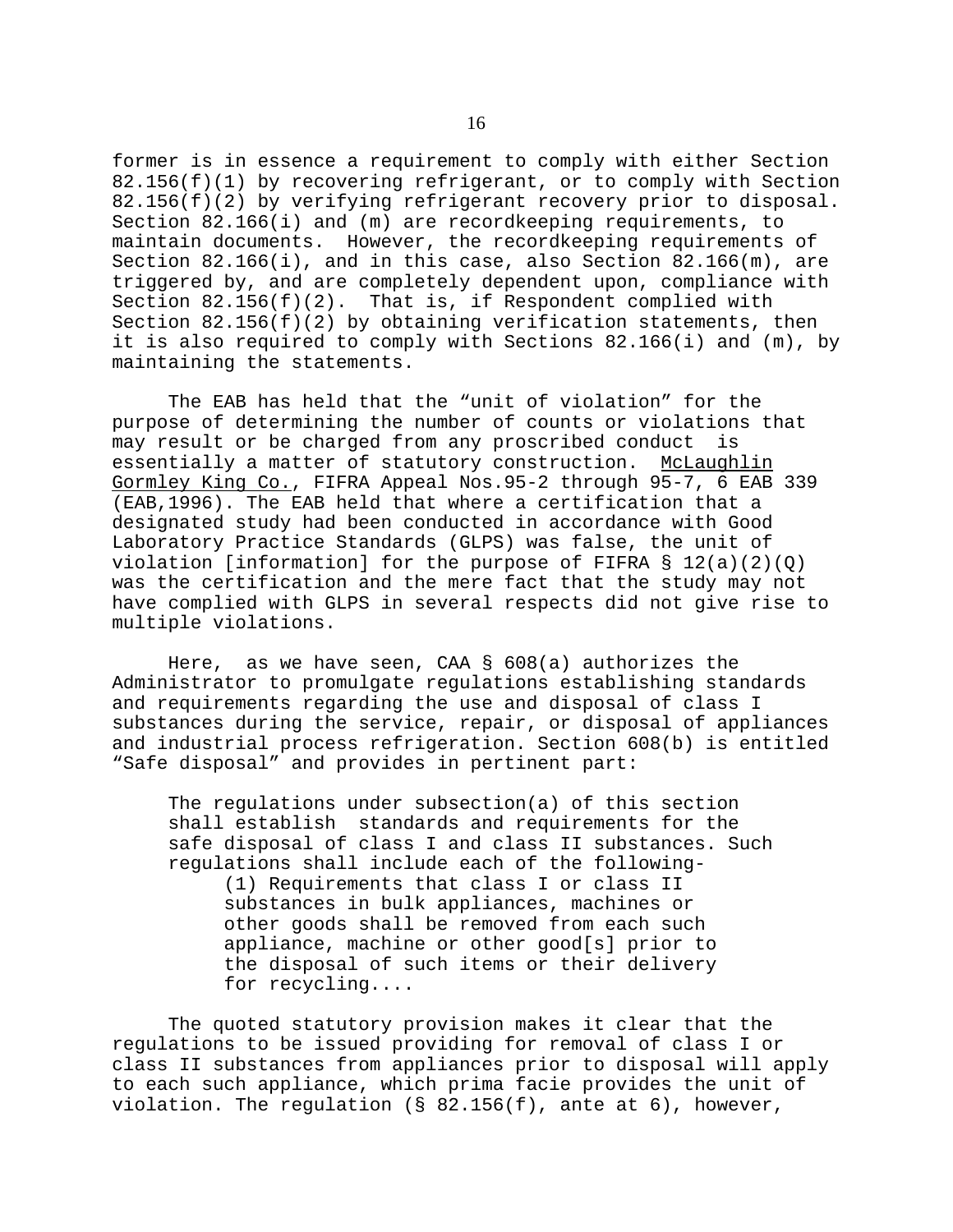former is in essence a requirement to comply with either Section 82.156(f)(1) by recovering refrigerant, or to comply with Section 82.156(f)(2) by verifying refrigerant recovery prior to disposal. Section 82.166(i) and (m) are recordkeeping requirements, to maintain documents. However, the recordkeeping requirements of Section 82.166(i), and in this case, also Section 82.166(m), are triggered by, and are completely dependent upon, compliance with Section  $82.156(f)(2)$ . That is, if Respondent complied with Section  $82.156(f)(2)$  by obtaining verification statements, then it is also required to comply with Sections 82.166(i) and (m), by maintaining the statements.

The EAB has held that the "unit of violation" for the purpose of determining the number of counts or violations that may result or be charged from any proscribed conduct is essentially a matter of statutory construction. McLaughlin Gormley King Co., FIFRA Appeal Nos.95-2 through 95-7, 6 EAB 339 (EAB,1996). The EAB held that where a certification that a designated study had been conducted in accordance with Good Laboratory Practice Standards (GLPS) was false, the unit of violation [information] for the purpose of FIFRA  $\S$  12(a)(2)(Q) was the certification and the mere fact that the study may not have complied with GLPS in several respects did not give rise to multiple violations.

Here, as we have seen, CAA § 608(a) authorizes the Administrator to promulgate regulations establishing standards and requirements regarding the use and disposal of class I substances during the service, repair, or disposal of appliances and industrial process refrigeration. Section 608(b) is entitled "Safe disposal" and provides in pertinent part:

The regulations under subsection(a) of this section shall establish standards and requirements for the safe disposal of class I and class II substances. Such regulations shall include each of the following

(1) Requirements that class I or class II substances in bulk appliances, machines or other goods shall be removed from each such appliance, machine or other good[s] prior to the disposal of such items or their delivery for recycling....

The quoted statutory provision makes it clear that the regulations to be issued providing for removal of class I or class II substances from appliances prior to disposal will apply to each such appliance, which prima facie provides the unit of violation. The requlation ( $\S$  82.156(f), ante at 6), however,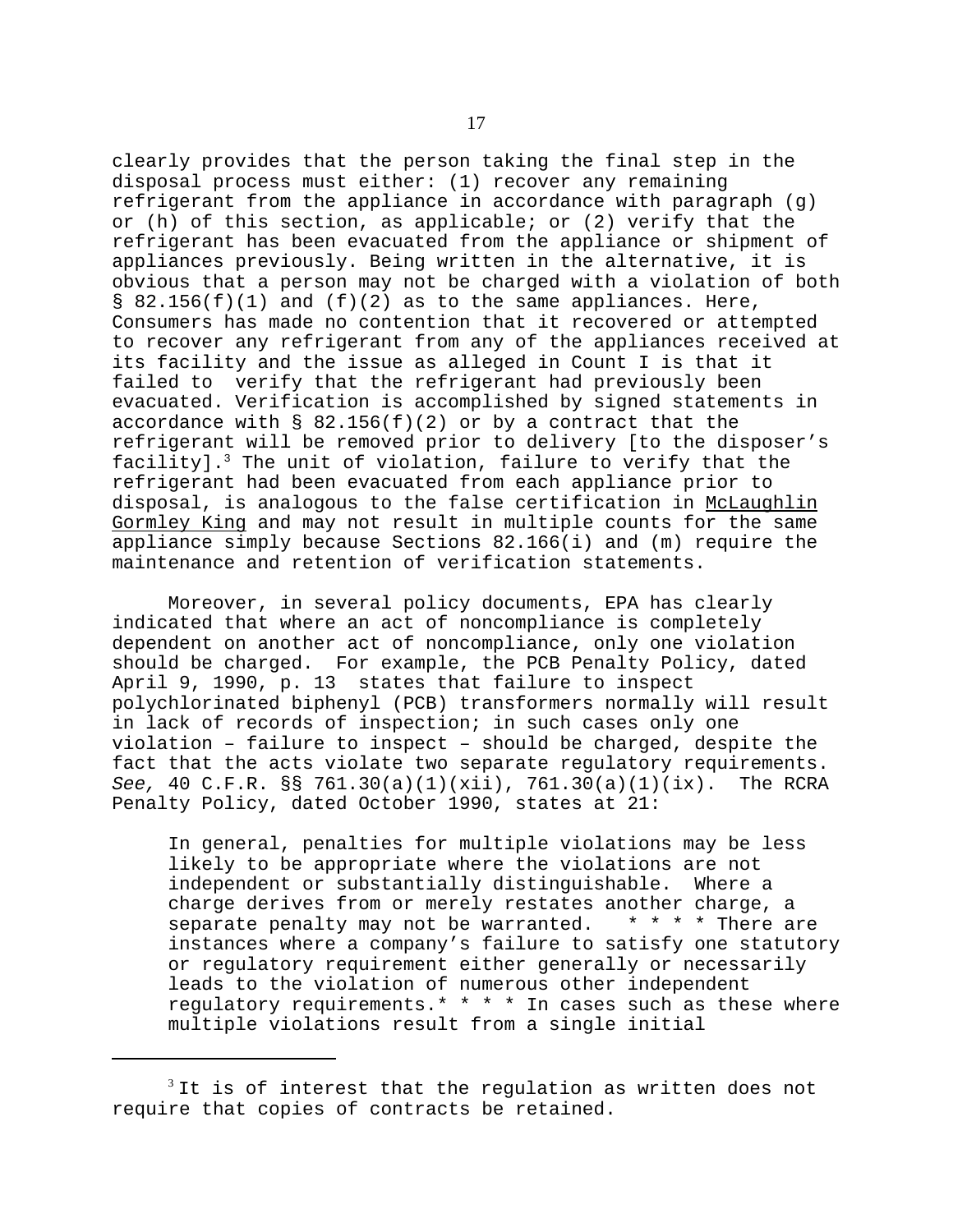clearly provides that the person taking the final step in the disposal process must either: (1) recover any remaining refrigerant from the appliance in accordance with paragraph (g) or (h) of this section, as applicable; or (2) verify that the refrigerant has been evacuated from the appliance or shipment of appliances previously. Being written in the alternative, it is obvious that a person may not be charged with a violation of both §  $82.156(f)(1)$  and  $(f)(2)$  as to the same appliances. Here, Consumers has made no contention that it recovered or attempted to recover any refrigerant from any of the appliances received at its facility and the issue as alleged in Count I is that it failed to verify that the refrigerant had previously been evacuated. Verification is accomplished by signed statements in accordance with § 82.156(f)(2) or by a contract that the refrigerant will be removed prior to delivery [to the disposer's facility].<sup>3</sup> The unit of violation, failure to verify that the refrigerant had been evacuated from each appliance prior to disposal, is analogous to the false certification in McLaughlin Gormley King and may not result in multiple counts for the same appliance simply because Sections 82.166(i) and (m) require the maintenance and retention of verification statements.

Moreover, in several policy documents, EPA has clearly indicated that where an act of noncompliance is completely dependent on another act of noncompliance, only one violation should be charged. For example, the PCB Penalty Policy, dated April 9, 1990, p. 13 states that failure to inspect polychlorinated biphenyl (PCB) transformers normally will result in lack of records of inspection; in such cases only one violation – failure to inspect – should be charged, despite the fact that the acts violate two separate regulatory requirements. *See,* 40 C.F.R. §§ 761.30(a)(1)(xii), 761.30(a)(1)(ix). The RCRA Penalty Policy, dated October 1990, states at 21:

In general, penalties for multiple violations may be less likely to be appropriate where the violations are not independent or substantially distinguishable. Where a charge derives from or merely restates another charge, a separate penalty may not be warranted. \* \* \* \* There are instances where a company's failure to satisfy one statutory or regulatory requirement either generally or necessarily leads to the violation of numerous other independent regulatory requirements.\* \* \* \* In cases such as these where multiple violations result from a single initial

 $3$ It is of interest that the regulation as written does not require that copies of contracts be retained.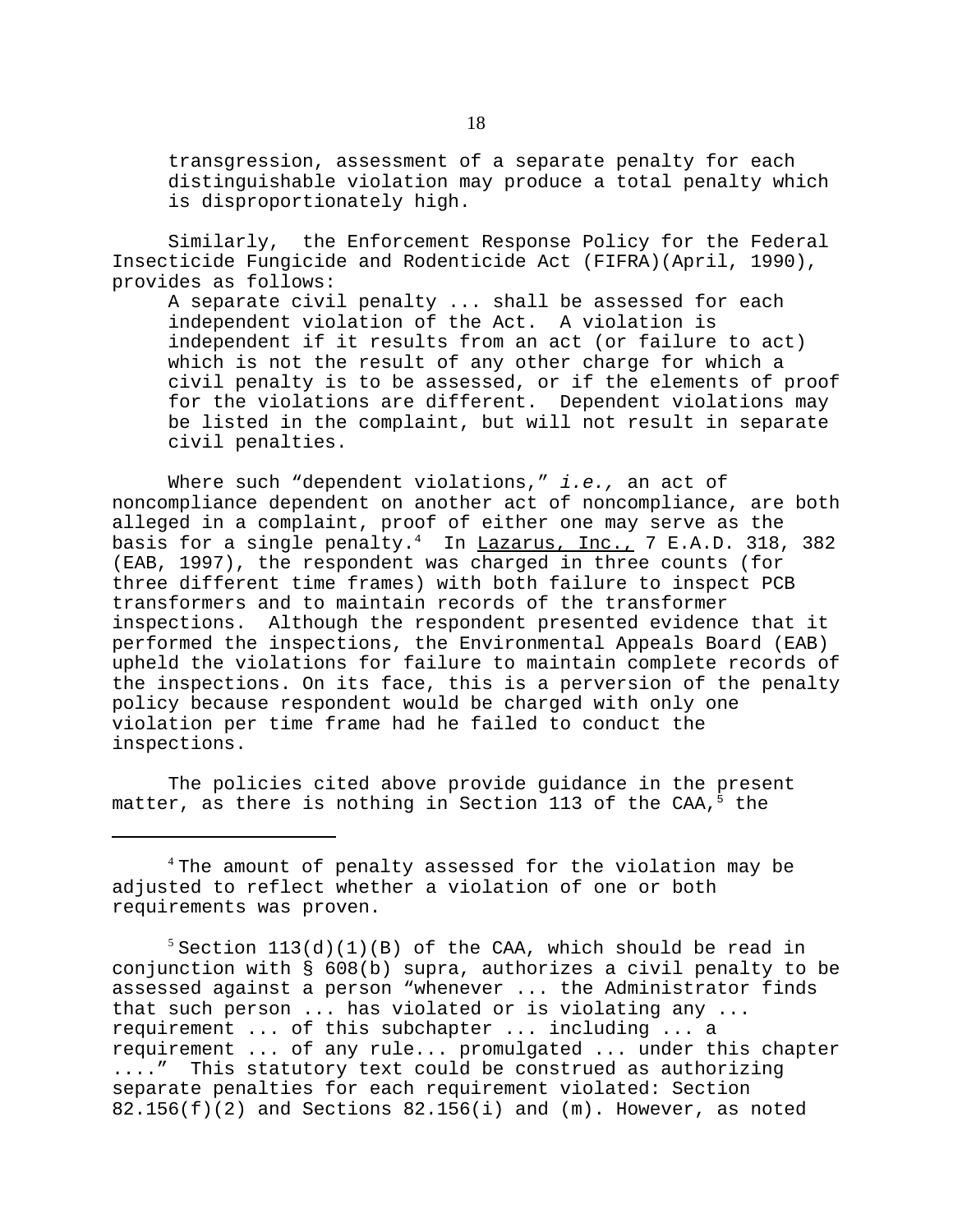transgression, assessment of a separate penalty for each distinguishable violation may produce a total penalty which is disproportionately high.

Similarly, the Enforcement Response Policy for the Federal Insecticide Fungicide and Rodenticide Act (FIFRA)(April, 1990), provides as follows:

A separate civil penalty ... shall be assessed for each independent violation of the Act. A violation is independent if it results from an act (or failure to act) which is not the result of any other charge for which a civil penalty is to be assessed, or if the elements of proof for the violations are different. Dependent violations may be listed in the complaint, but will not result in separate civil penalties.

Where such "dependent violations," *i.e.,* an act of noncompliance dependent on another act of noncompliance, are both alleged in a complaint, proof of either one may serve as the basis for a single penalty.<sup>4</sup> In  $Lazarus, Inc., 7 E.A.D. 318, 382$ (EAB, 1997), the respondent was charged in three counts (for three different time frames) with both failure to inspect PCB transformers and to maintain records of the transformer inspections. Although the respondent presented evidence that it performed the inspections, the Environmental Appeals Board (EAB) upheld the violations for failure to maintain complete records of the inspections. On its face, this is a perversion of the penalty policy because respondent would be charged with only one violation per time frame had he failed to conduct the inspections.

The policies cited above provide guidance in the present matter, as there is nothing in Section 113 of the CAA, $5$  the

<sup>4</sup>The amount of penalty assessed for the violation may be adjusted to reflect whether a violation of one or both requirements was proven.

 $5$  Section 113(d)(1)(B) of the CAA, which should be read in conjunction with § 608(b) supra, authorizes a civil penalty to be assessed against a person "whenever ... the Administrator finds that such person ... has violated or is violating any ... requirement ... of this subchapter ... including ... a requirement ... of any rule... promulgated ... under this chapter ...." This statutory text could be construed as authorizing separate penalties for each requirement violated: Section  $82.156(f)(2)$  and Sections  $82.156(i)$  and  $(m)$ . However, as noted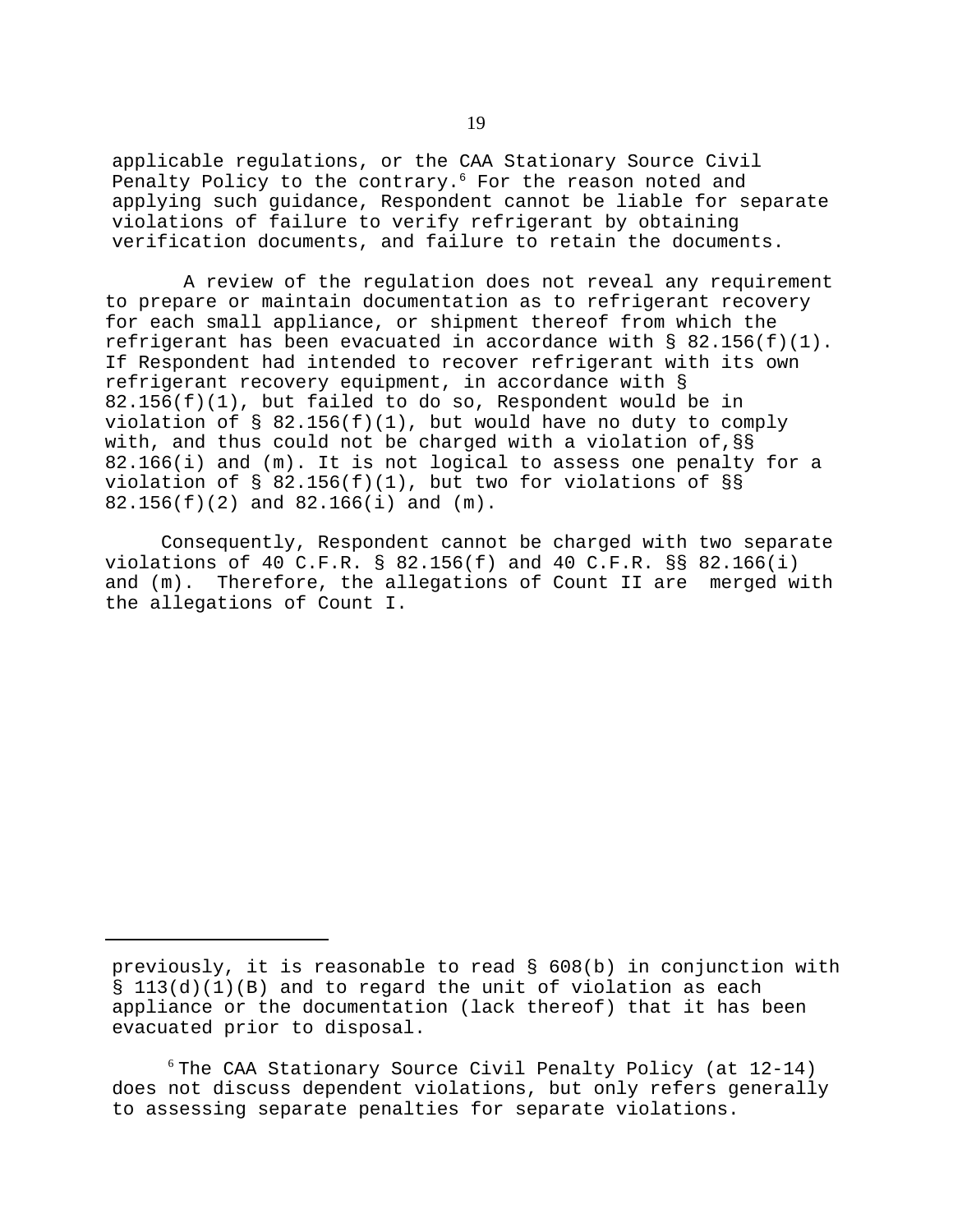applicable regulations, or the CAA Stationary Source Civil Penalty Policy to the contrary.<sup>6</sup> For the reason noted and applying such guidance, Respondent cannot be liable for separate violations of failure to verify refrigerant by obtaining verification documents, and failure to retain the documents.

A review of the regulation does not reveal any requirement to prepare or maintain documentation as to refrigerant recovery for each small appliance, or shipment thereof from which the refrigerant has been evacuated in accordance with § 82.156(f)(1). If Respondent had intended to recover refrigerant with its own refrigerant recovery equipment, in accordance with § 82.156(f)(1), but failed to do so, Respondent would be in violation of  $\S$  82.156(f)(1), but would have no duty to comply with, and thus could not be charged with a violation of,§§ 82.166(i) and (m). It is not logical to assess one penalty for a violation of § 82.156(f)(1), but two for violations of §§ 82.156(f)(2) and 82.166(i) and (m).

Consequently, Respondent cannot be charged with two separate violations of 40 C.F.R. § 82.156(f) and 40 C.F.R. §§ 82.166(i) and (m). Therefore, the allegations of Count II are merged with the allegations of Count I.

previously, it is reasonable to read § 608(b) in conjunction with § 113(d)(1)(B) and to regard the unit of violation as each appliance or the documentation (lack thereof) that it has been evacuated prior to disposal.

 $6$ The CAA Stationary Source Civil Penalty Policy (at 12-14) does not discuss dependent violations, but only refers generally to assessing separate penalties for separate violations.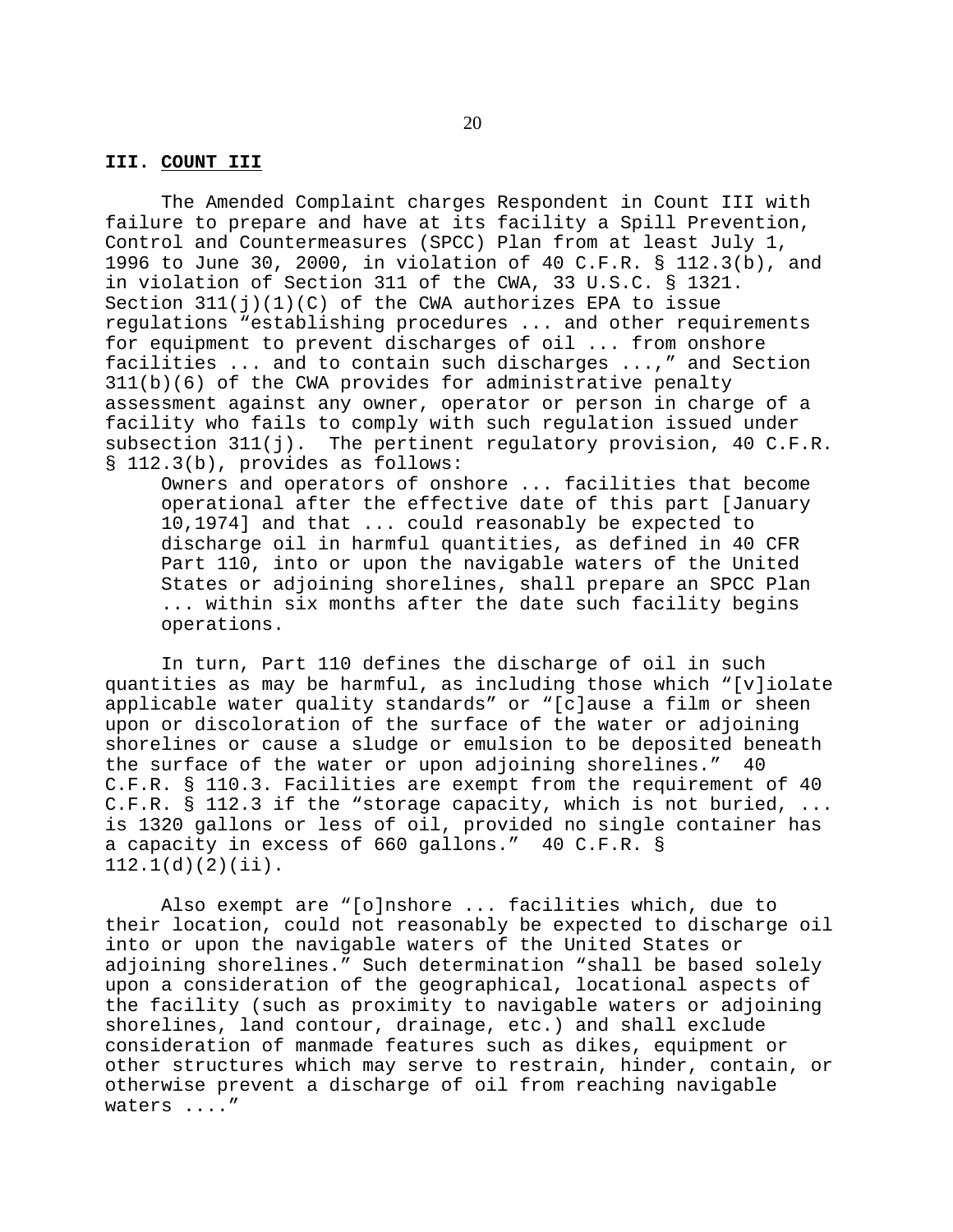## **III. COUNT III**

The Amended Complaint charges Respondent in Count III with failure to prepare and have at its facility a Spill Prevention, Control and Countermeasures (SPCC) Plan from at least July 1, 1996 to June 30, 2000, in violation of 40 C.F.R. § 112.3(b), and in violation of Section 311 of the CWA, 33 U.S.C. § 1321. Section  $311(j)(1)(C)$  of the CWA authorizes EPA to issue regulations "establishing procedures ... and other requirements for equipment to prevent discharges of oil ... from onshore facilities ... and to contain such discharges ...," and Section 311(b)(6) of the CWA provides for administrative penalty assessment against any owner, operator or person in charge of a facility who fails to comply with such regulation issued under subsection  $311(j)$ . The pertinent regulatory provision, 40 C.F.R. § 112.3(b), provides as follows:

Owners and operators of onshore ... facilities that become operational after the effective date of this part [January 10,1974] and that ... could reasonably be expected to discharge oil in harmful quantities, as defined in 40 CFR Part 110, into or upon the navigable waters of the United States or adjoining shorelines, shall prepare an SPCC Plan ... within six months after the date such facility begins operations.

In turn, Part 110 defines the discharge of oil in such quantities as may be harmful, as including those which "[v]iolate applicable water quality standards" or "[c]ause a film or sheen upon or discoloration of the surface of the water or adjoining shorelines or cause a sludge or emulsion to be deposited beneath the surface of the water or upon adjoining shorelines." 40 C.F.R. § 110.3. Facilities are exempt from the requirement of 40 C.F.R. § 112.3 if the "storage capacity, which is not buried, ... is 1320 gallons or less of oil, provided no single container has a capacity in excess of 660 gallons." 40 C.F.R. § 112.1(d)(2)(ii).

Also exempt are "[o]nshore ... facilities which, due to their location, could not reasonably be expected to discharge oil into or upon the navigable waters of the United States or adjoining shorelines." Such determination "shall be based solely upon a consideration of the geographical, locational aspects of the facility (such as proximity to navigable waters or adjoining shorelines, land contour, drainage, etc.) and shall exclude consideration of manmade features such as dikes, equipment or other structures which may serve to restrain, hinder, contain, or otherwise prevent a discharge of oil from reaching navigable waters ...."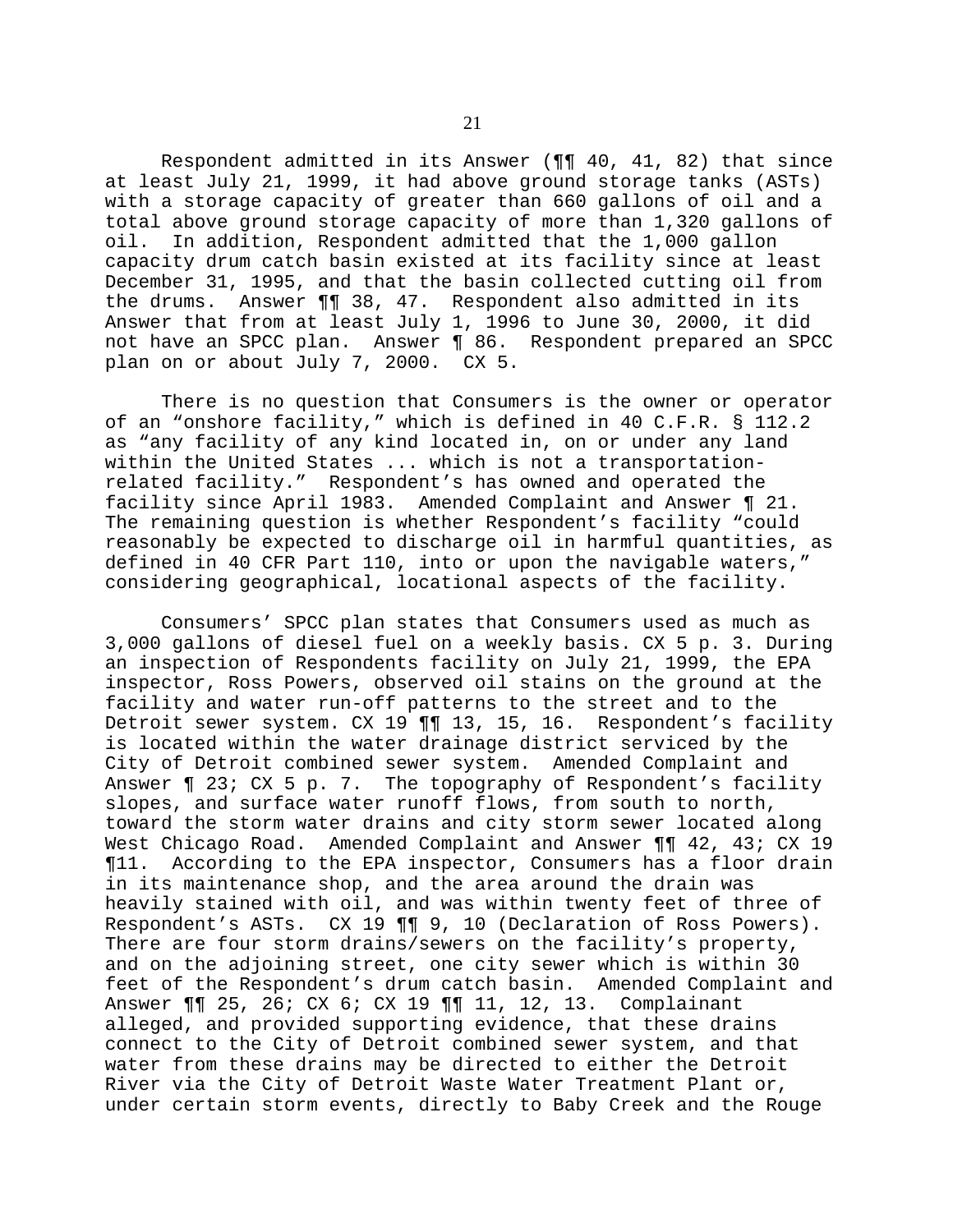Respondent admitted in its Answer (¶¶ 40, 41, 82) that since at least July 21, 1999, it had above ground storage tanks (ASTs) with a storage capacity of greater than 660 gallons of oil and a total above ground storage capacity of more than 1,320 gallons of oil. In addition, Respondent admitted that the 1,000 gallon capacity drum catch basin existed at its facility since at least December 31, 1995, and that the basin collected cutting oil from the drums. Answer ¶¶ 38, 47. Respondent also admitted in its Answer that from at least July 1, 1996 to June 30, 2000, it did not have an SPCC plan. Answer ¶ 86. Respondent prepared an SPCC plan on or about July 7, 2000. CX 5.

There is no question that Consumers is the owner or operator of an "onshore facility," which is defined in 40 C.F.R. § 112.2 as "any facility of any kind located in, on or under any land within the United States ... which is not a transportationrelated facility." Respondent's has owned and operated the facility since April 1983. Amended Complaint and Answer ¶ 21. The remaining question is whether Respondent's facility "could reasonably be expected to discharge oil in harmful quantities, as defined in 40 CFR Part 110, into or upon the navigable waters," considering geographical, locational aspects of the facility.

Consumers' SPCC plan states that Consumers used as much as 3,000 gallons of diesel fuel on a weekly basis. CX 5 p. 3. During an inspection of Respondents facility on July 21, 1999, the EPA inspector, Ross Powers, observed oil stains on the ground at the facility and water run-off patterns to the street and to the Detroit sewer system. CX 19 11 13, 15, 16. Respondent's facility is located within the water drainage district serviced by the City of Detroit combined sewer system. Amended Complaint and Answer ¶ 23; CX 5 p. 7. The topography of Respondent's facility slopes, and surface water runoff flows, from south to north, toward the storm water drains and city storm sewer located along West Chicago Road. Amended Complaint and Answer ¶¶ 42, 43; CX 19 ¶11. According to the EPA inspector, Consumers has a floor drain in its maintenance shop, and the area around the drain was heavily stained with oil, and was within twenty feet of three of Respondent's ASTs. CX 19 ¶¶ 9, 10 (Declaration of Ross Powers). There are four storm drains/sewers on the facility's property, and on the adjoining street, one city sewer which is within 30 feet of the Respondent's drum catch basin. Amended Complaint and Answer ¶¶ 25, 26; CX 6; CX 19 ¶¶ 11, 12, 13. Complainant alleged, and provided supporting evidence, that these drains connect to the City of Detroit combined sewer system, and that water from these drains may be directed to either the Detroit River via the City of Detroit Waste Water Treatment Plant or, under certain storm events, directly to Baby Creek and the Rouge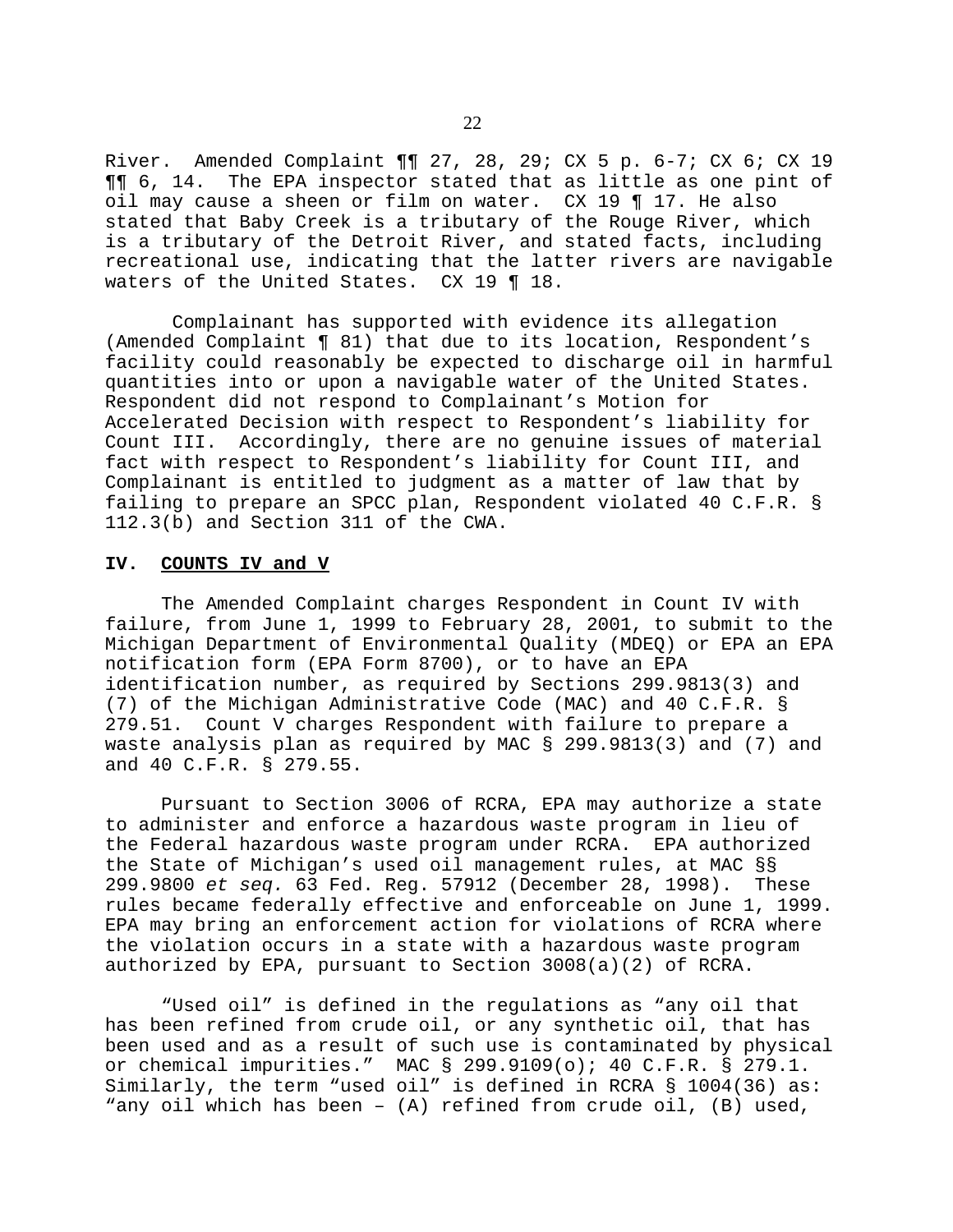River. Amended Complaint ¶¶ 27, 28, 29; CX 5 p. 6-7; CX 6; CX 19 ¶¶ 6, 14. The EPA inspector stated that as little as one pint of oil may cause a sheen or film on water. CX 19 ¶ 17. He also stated that Baby Creek is a tributary of the Rouge River, which is a tributary of the Detroit River, and stated facts, including recreational use, indicating that the latter rivers are navigable waters of the United States. CX 19 ¶ 18.

Complainant has supported with evidence its allegation (Amended Complaint ¶ 81) that due to its location, Respondent's facility could reasonably be expected to discharge oil in harmful quantities into or upon a navigable water of the United States. Respondent did not respond to Complainant's Motion for Accelerated Decision with respect to Respondent's liability for Count III. Accordingly, there are no genuine issues of material fact with respect to Respondent's liability for Count III, and Complainant is entitled to judgment as a matter of law that by failing to prepare an SPCC plan, Respondent violated 40 C.F.R. § 112.3(b) and Section 311 of the CWA.

## **IV. COUNTS IV and V**

The Amended Complaint charges Respondent in Count IV with failure, from June 1, 1999 to February 28, 2001, to submit to the Michigan Department of Environmental Quality (MDEQ) or EPA an EPA notification form (EPA Form 8700), or to have an EPA identification number, as required by Sections 299.9813(3) and (7) of the Michigan Administrative Code (MAC) and 40 C.F.R. § 279.51. Count V charges Respondent with failure to prepare a waste analysis plan as required by MAC § 299.9813(3) and (7) and and 40 C.F.R. § 279.55.

Pursuant to Section 3006 of RCRA, EPA may authorize a state to administer and enforce a hazardous waste program in lieu of the Federal hazardous waste program under RCRA. EPA authorized the State of Michigan's used oil management rules, at MAC §§ 299.9800 *et seq.* 63 Fed. Reg. 57912 (December 28, 1998). These rules became federally effective and enforceable on June 1, 1999. EPA may bring an enforcement action for violations of RCRA where the violation occurs in a state with a hazardous waste program authorized by EPA, pursuant to Section 3008(a)(2) of RCRA.

"Used oil" is defined in the regulations as "any oil that has been refined from crude oil, or any synthetic oil, that has been used and as a result of such use is contaminated by physical or chemical impurities." MAC § 299.9109(o); 40 C.F.R. § 279.1. Similarly, the term "used oil" is defined in RCRA § 1004(36) as: "any oil which has been – (A) refined from crude oil, (B) used,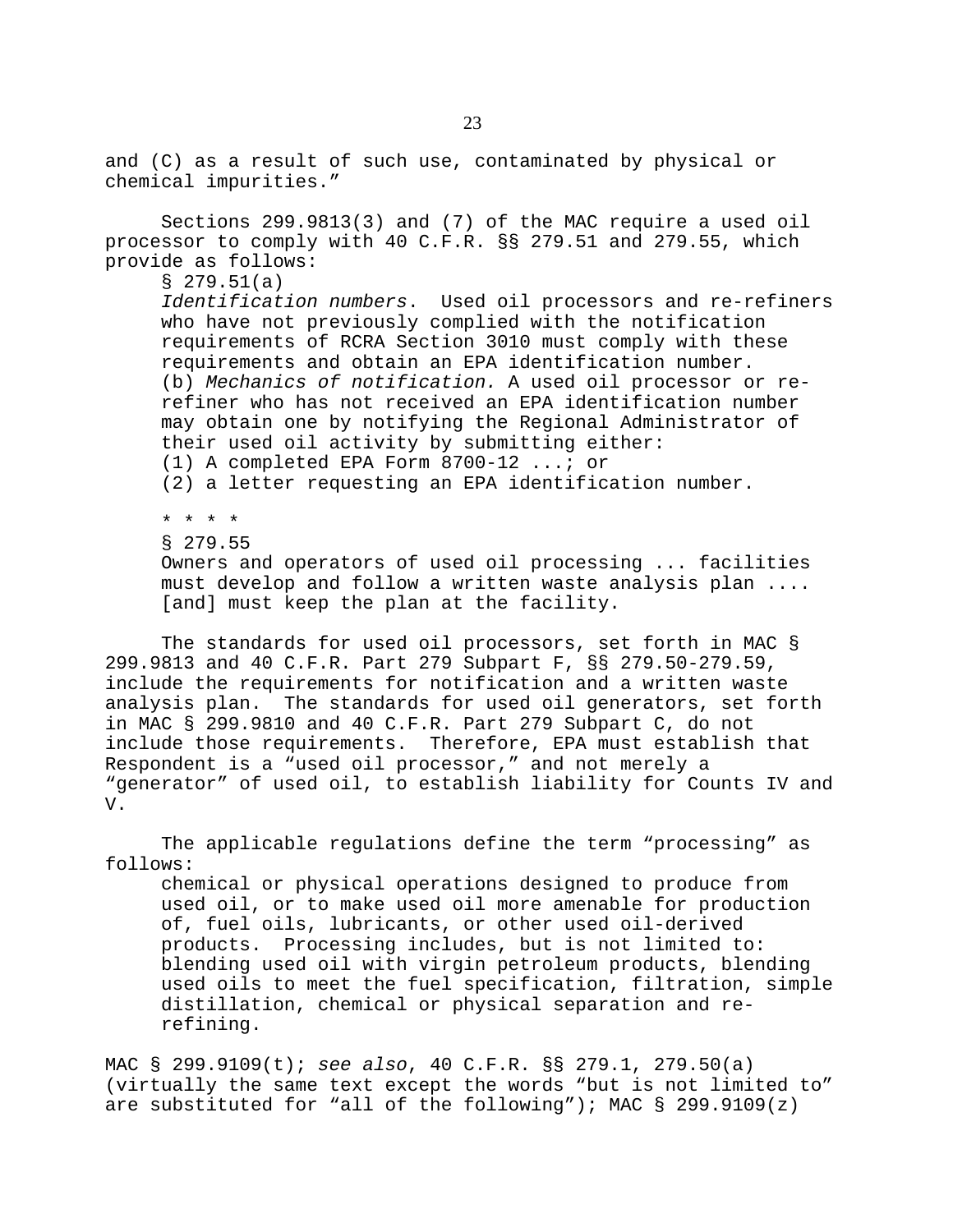and (C) as a result of such use, contaminated by physical or chemical impurities."

Sections 299.9813(3) and (7) of the MAC require a used oil processor to comply with 40 C.F.R. §§ 279.51 and 279.55, which provide as follows:

§ 279.51(a)

*Identification numbers*. Used oil processors and re-refiners who have not previously complied with the notification requirements of RCRA Section 3010 must comply with these requirements and obtain an EPA identification number. (b) *Mechanics of notification.* A used oil processor or rerefiner who has not received an EPA identification number may obtain one by notifying the Regional Administrator of their used oil activity by submitting either: (1) A completed EPA Form 8700-12 ...; or (2) a letter requesting an EPA identification number.

\* \* \* \* § 279.55

Owners and operators of used oil processing ... facilities must develop and follow a written waste analysis plan .... [and] must keep the plan at the facility.

The standards for used oil processors, set forth in MAC § 299.9813 and 40 C.F.R. Part 279 Subpart F, §§ 279.50-279.59, include the requirements for notification and a written waste analysis plan. The standards for used oil generators, set forth in MAC § 299.9810 and 40 C.F.R. Part 279 Subpart C, do not include those requirements. Therefore, EPA must establish that Respondent is a "used oil processor," and not merely a "generator" of used oil, to establish liability for Counts IV and V.

The applicable regulations define the term "processing" as follows:

chemical or physical operations designed to produce from used oil, or to make used oil more amenable for production of, fuel oils, lubricants, or other used oil-derived products. Processing includes, but is not limited to: blending used oil with virgin petroleum products, blending used oils to meet the fuel specification, filtration, simple distillation, chemical or physical separation and rerefining.

MAC § 299.9109(t); *see also*, 40 C.F.R. §§ 279.1, 279.50(a) (virtually the same text except the words "but is not limited to" are substituted for "all of the following"); MAC  $\S$  299.9109(z)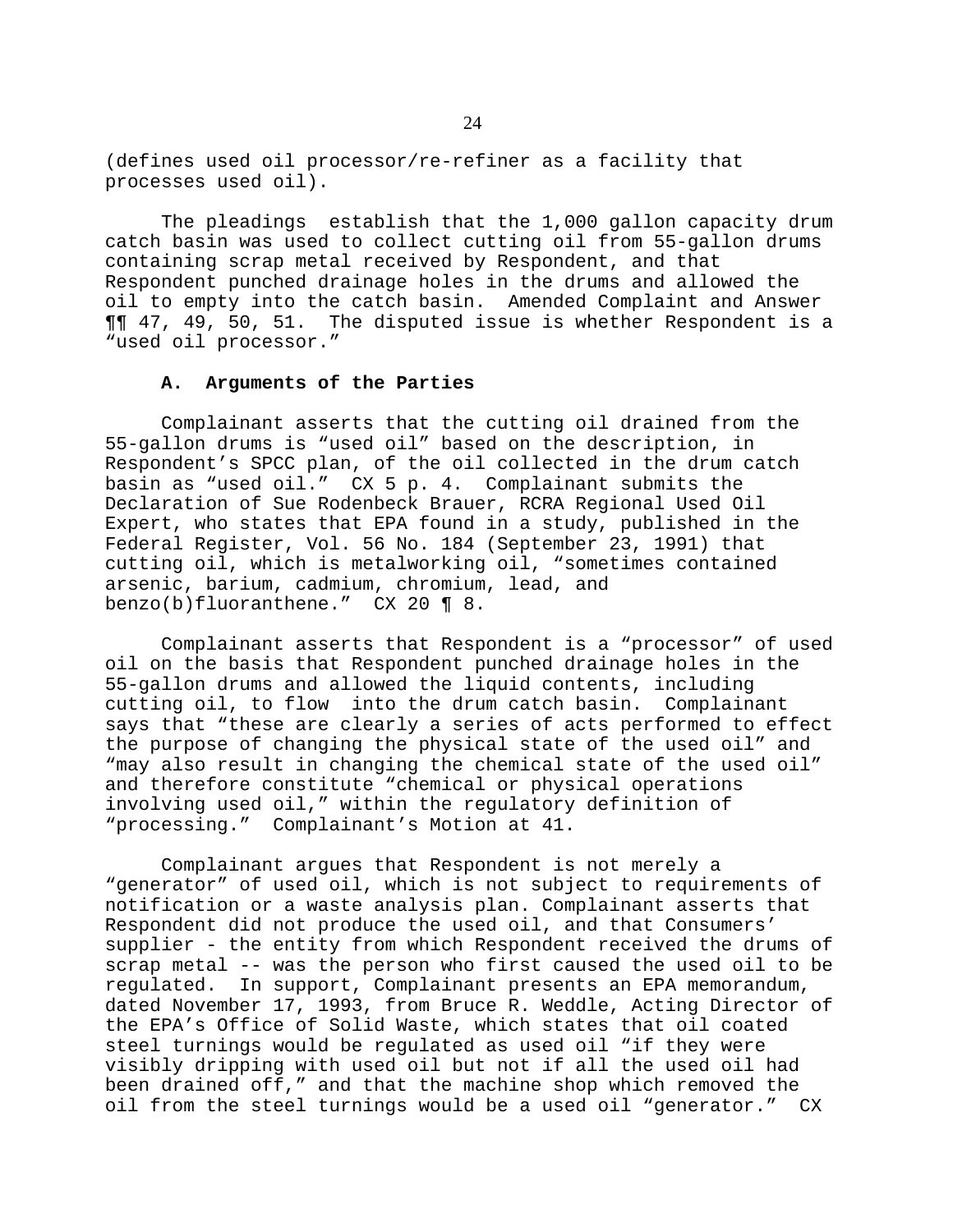(defines used oil processor/re-refiner as a facility that processes used oil).

The pleadings establish that the 1,000 gallon capacity drum catch basin was used to collect cutting oil from 55-gallon drums containing scrap metal received by Respondent, and that Respondent punched drainage holes in the drums and allowed the oil to empty into the catch basin. Amended Complaint and Answer ¶¶ 47, 49, 50, 51. The disputed issue is whether Respondent is a "used oil processor."

### **A. Arguments of the Parties**

Complainant asserts that the cutting oil drained from the 55-gallon drums is "used oil" based on the description, in Respondent's SPCC plan, of the oil collected in the drum catch basin as "used oil." CX 5 p. 4. Complainant submits the Declaration of Sue Rodenbeck Brauer, RCRA Regional Used Oil Expert, who states that EPA found in a study, published in the Federal Register, Vol. 56 No. 184 (September 23, 1991) that cutting oil, which is metalworking oil, "sometimes contained arsenic, barium, cadmium, chromium, lead, and benzo(b)fluoranthene." CX 20 ¶ 8.

Complainant asserts that Respondent is a "processor" of used oil on the basis that Respondent punched drainage holes in the 55-gallon drums and allowed the liquid contents, including cutting oil, to flow into the drum catch basin. Complainant says that "these are clearly a series of acts performed to effect the purpose of changing the physical state of the used oil" and "may also result in changing the chemical state of the used oil" and therefore constitute "chemical or physical operations involving used oil," within the regulatory definition of "processing." Complainant's Motion at 41.

Complainant argues that Respondent is not merely a "generator" of used oil, which is not subject to requirements of notification or a waste analysis plan. Complainant asserts that Respondent did not produce the used oil, and that Consumers' supplier - the entity from which Respondent received the drums of scrap metal -- was the person who first caused the used oil to be regulated. In support, Complainant presents an EPA memorandum, dated November 17, 1993, from Bruce R. Weddle, Acting Director of the EPA's Office of Solid Waste, which states that oil coated steel turnings would be regulated as used oil "if they were visibly dripping with used oil but not if all the used oil had been drained off," and that the machine shop which removed the oil from the steel turnings would be a used oil "generator." CX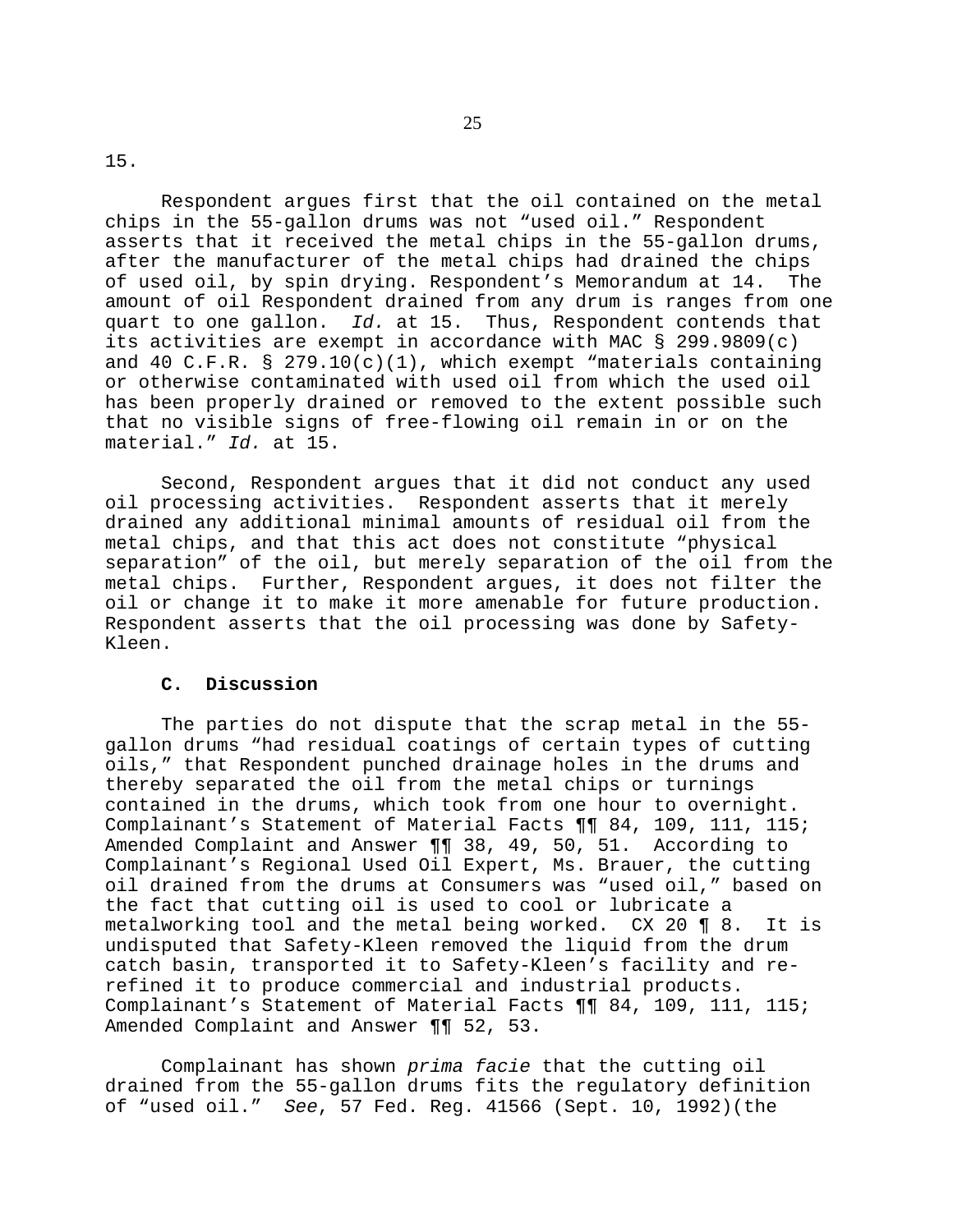15.

Respondent argues first that the oil contained on the metal chips in the 55-gallon drums was not "used oil." Respondent asserts that it received the metal chips in the 55-gallon drums, after the manufacturer of the metal chips had drained the chips of used oil, by spin drying. Respondent's Memorandum at 14. The amount of oil Respondent drained from any drum is ranges from one quart to one gallon. *Id.* at 15. Thus, Respondent contends that its activities are exempt in accordance with MAC § 299.9809(c) and 40 C.F.R.  $\S$  279.10(c)(1), which exempt "materials containing or otherwise contaminated with used oil from which the used oil has been properly drained or removed to the extent possible such that no visible signs of free-flowing oil remain in or on the material." *Id.* at 15.

Second, Respondent argues that it did not conduct any used oil processing activities. Respondent asserts that it merely drained any additional minimal amounts of residual oil from the metal chips, and that this act does not constitute "physical separation" of the oil, but merely separation of the oil from the metal chips. Further, Respondent argues, it does not filter the oil or change it to make it more amenable for future production. Respondent asserts that the oil processing was done by Safety-Kleen.

## **C. Discussion**

The parties do not dispute that the scrap metal in the 55 gallon drums "had residual coatings of certain types of cutting oils," that Respondent punched drainage holes in the drums and thereby separated the oil from the metal chips or turnings contained in the drums, which took from one hour to overnight. Complainant's Statement of Material Facts ¶¶ 84, 109, 111, 115; Amended Complaint and Answer ¶¶ 38, 49, 50, 51. According to Complainant's Regional Used Oil Expert, Ms. Brauer, the cutting oil drained from the drums at Consumers was "used oil," based on the fact that cutting oil is used to cool or lubricate a metalworking tool and the metal being worked. CX 20 ¶ 8. It is undisputed that Safety-Kleen removed the liquid from the drum catch basin, transported it to Safety-Kleen's facility and rerefined it to produce commercial and industrial products. Complainant's Statement of Material Facts ¶¶ 84, 109, 111, 115; Amended Complaint and Answer ¶¶ 52, 53.

Complainant has shown *prima facie* that the cutting oil drained from the 55-gallon drums fits the regulatory definition of "used oil." *See*, 57 Fed. Reg. 41566 (Sept. 10, 1992)(the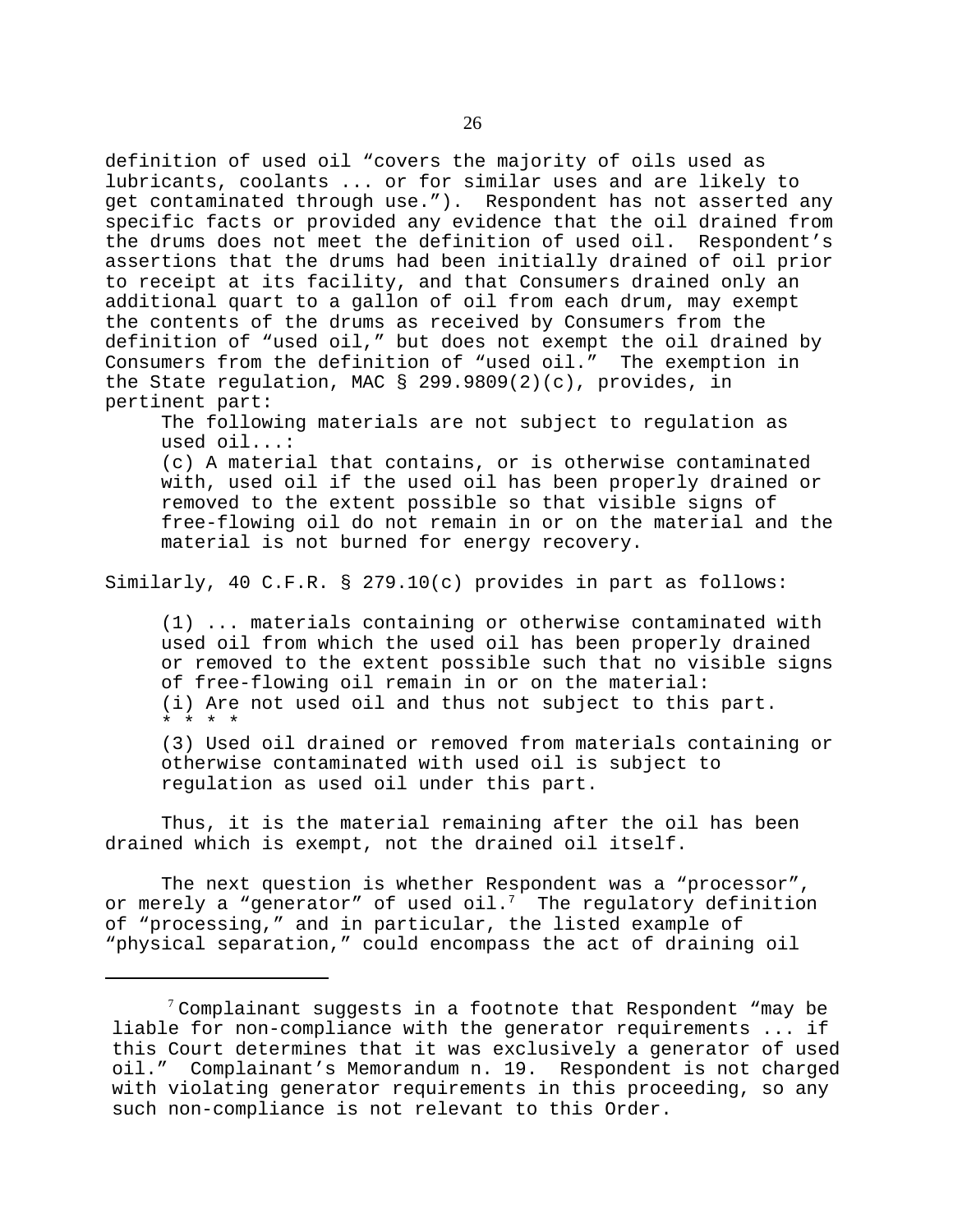definition of used oil "covers the majority of oils used as lubricants, coolants ... or for similar uses and are likely to get contaminated through use."). Respondent has not asserted any specific facts or provided any evidence that the oil drained from the drums does not meet the definition of used oil. Respondent's assertions that the drums had been initially drained of oil prior to receipt at its facility, and that Consumers drained only an additional quart to a gallon of oil from each drum, may exempt the contents of the drums as received by Consumers from the definition of "used oil," but does not exempt the oil drained by Consumers from the definition of "used oil." The exemption in the State regulation, MAC § 299.9809(2)(c), provides, in pertinent part:

The following materials are not subject to regulation as used oil...: (c) A material that contains, or is otherwise contaminated with, used oil if the used oil has been properly drained or removed to the extent possible so that visible signs of free-flowing oil do not remain in or on the material and the material is not burned for energy recovery.

Similarly, 40 C.F.R. § 279.10(c) provides in part as follows:

(1) ... materials containing or otherwise contaminated with used oil from which the used oil has been properly drained or removed to the extent possible such that no visible signs of free-flowing oil remain in or on the material: (i) Are not used oil and thus not subject to this part. \* \* \* \*

(3) Used oil drained or removed from materials containing or otherwise contaminated with used oil is subject to regulation as used oil under this part.

Thus, it is the material remaining after the oil has been drained which is exempt, not the drained oil itself.

The next question is whether Respondent was a "processor", or merely a "generator" of used oil.<sup>7</sup> The regulatory definition of "processing," and in particular, the listed example of "physical separation," could encompass the act of draining oil

 $7$  Complainant suggests in a footnote that Respondent "may be liable for non-compliance with the generator requirements ... if this Court determines that it was exclusively a generator of used oil." Complainant's Memorandum n. 19. Respondent is not charged with violating generator requirements in this proceeding, so any such non-compliance is not relevant to this Order.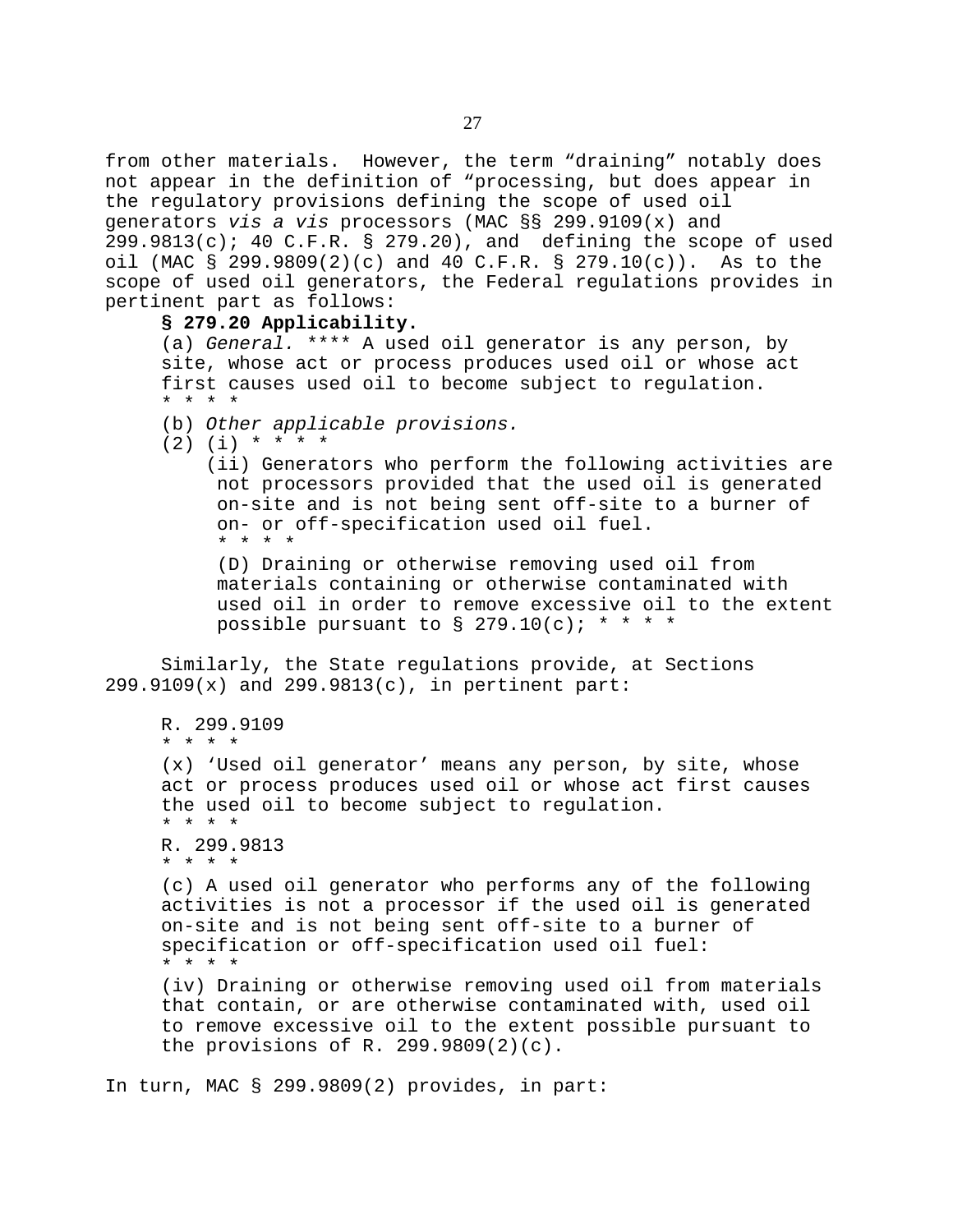from other materials. However, the term "draining" notably does not appear in the definition of "processing, but does appear in the regulatory provisions defining the scope of used oil generators *vis a vis* processors (MAC §§ 299.9109(x) and  $299.9813(c)$ ; 40 C.F.R. § 279.20), and defining the scope of used oil (MAC § 299.9809(2)(c) and 40 C.F.R. § 279.10(c)). As to the scope of used oil generators, the Federal regulations provides in pertinent part as follows:

### **§ 279.20 Applicability.**

(a) *General.* \*\*\*\* A used oil generator is any person, by site, whose act or process produces used oil or whose act first causes used oil to become subject to regulation. \* \* \* \*

- (b) *Other applicable provisions.*
- $(2)$   $(i)$  \* \* \* \*

(ii) Generators who perform the following activities are not processors provided that the used oil is generated on-site and is not being sent off-site to a burner of on- or off-specification used oil fuel. \* \* \* \*

(D) Draining or otherwise removing used oil from materials containing or otherwise contaminated with used oil in order to remove excessive oil to the extent possible pursuant to  $\S$  279.10(c); \* \* \* \*

Similarly, the State regulations provide, at Sections 299.9109(x) and 299.9813(c), in pertinent part:

```
R. 299.9109
* * * * 
(x) 'Used oil generator' means any person, by site, whose
act or process produces used oil or whose act first causes
the used oil to become subject to regulation.
* * * *
R. 299.9813
* * * *
(c) A used oil generator who performs any of the following
activities is not a processor if the used oil is generated
on-site and is not being sent off-site to a burner of
specification or off-specification used oil fuel:
* * * * 
(iv) Draining or otherwise removing used oil from materials
that contain, or are otherwise contaminated with, used oil
to remove excessive oil to the extent possible pursuant to
the provisions of R. 299.9809(2)(c).
```
In turn, MAC § 299.9809(2) provides, in part: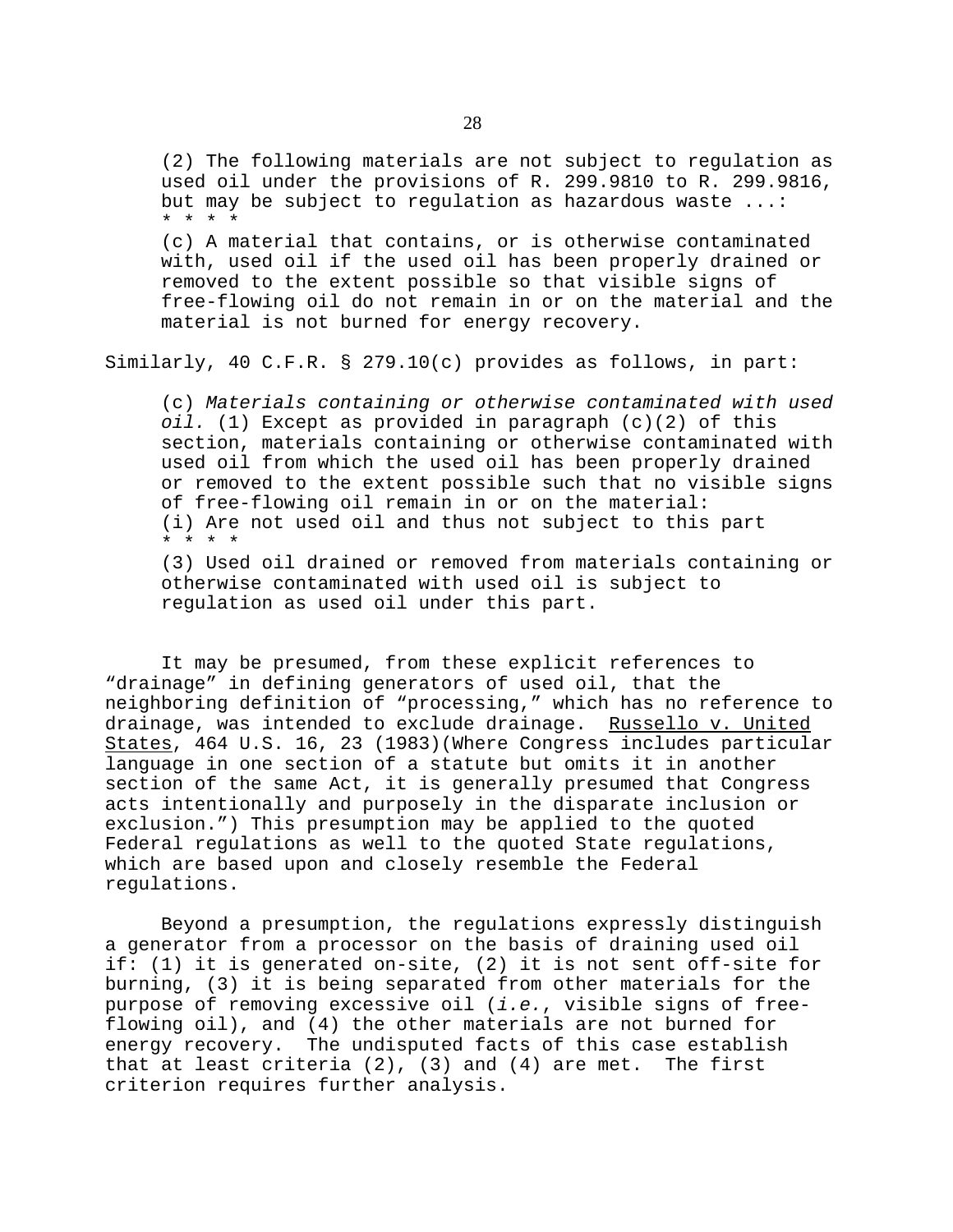(2) The following materials are not subject to regulation as used oil under the provisions of R. 299.9810 to R. 299.9816, but may be subject to regulation as hazardous waste ...: \* \* \* \* (c) A material that contains, or is otherwise contaminated

with, used oil if the used oil has been properly drained or removed to the extent possible so that visible signs of free-flowing oil do not remain in or on the material and the material is not burned for energy recovery.

Similarly, 40 C.F.R. § 279.10(c) provides as follows, in part:

(c) *Materials containing or otherwise contaminated with used oil.* (1) Except as provided in paragraph (c)(2) of this section, materials containing or otherwise contaminated with used oil from which the used oil has been properly drained or removed to the extent possible such that no visible signs of free-flowing oil remain in or on the material: (i) Are not used oil and thus not subject to this part \* \* \* \*

(3) Used oil drained or removed from materials containing or otherwise contaminated with used oil is subject to regulation as used oil under this part.

It may be presumed, from these explicit references to "drainage" in defining generators of used oil, that the neighboring definition of "processing," which has no reference to drainage, was intended to exclude drainage. Russello v. United States, 464 U.S. 16, 23 (1983)(Where Congress includes particular language in one section of a statute but omits it in another section of the same Act, it is generally presumed that Congress acts intentionally and purposely in the disparate inclusion or exclusion.") This presumption may be applied to the quoted Federal regulations as well to the quoted State regulations, which are based upon and closely resemble the Federal regulations.

Beyond a presumption, the regulations expressly distinguish a generator from a processor on the basis of draining used oil if: (1) it is generated on-site, (2) it is not sent off-site for burning, (3) it is being separated from other materials for the purpose of removing excessive oil (*i.e.*, visible signs of freeflowing oil), and (4) the other materials are not burned for energy recovery. The undisputed facts of this case establish that at least criteria  $(2)$ ,  $(3)$  and  $(4)$  are met. The first criterion requires further analysis.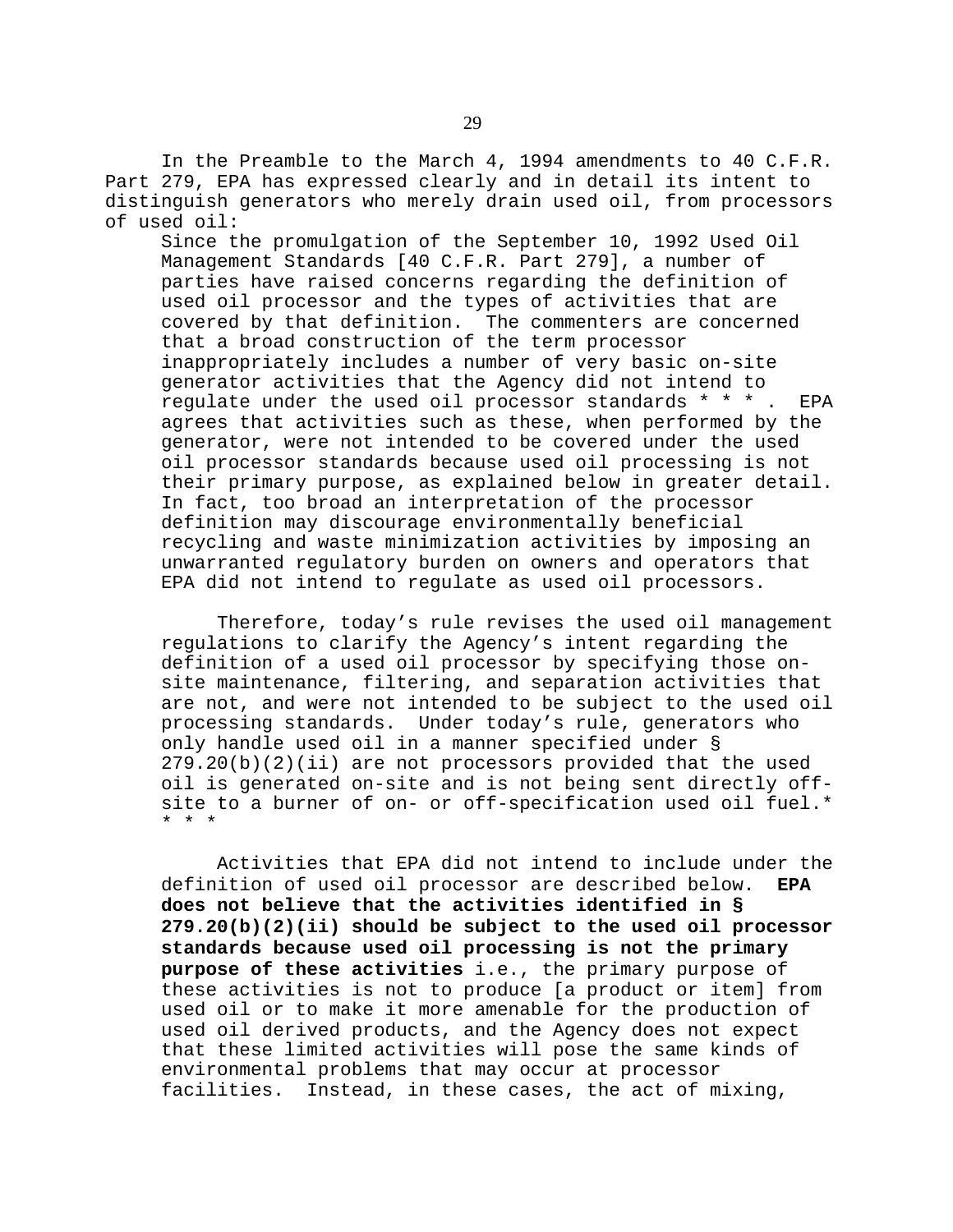In the Preamble to the March 4, 1994 amendments to 40 C.F.R. Part 279, EPA has expressed clearly and in detail its intent to distinguish generators who merely drain used oil, from processors of used oil:

Since the promulgation of the September 10, 1992 Used Oil Management Standards [40 C.F.R. Part 279], a number of parties have raised concerns regarding the definition of used oil processor and the types of activities that are covered by that definition. The commenters are concerned that a broad construction of the term processor inappropriately includes a number of very basic on-site generator activities that the Agency did not intend to regulate under the used oil processor standards \* \* \* . EPA agrees that activities such as these, when performed by the generator, were not intended to be covered under the used oil processor standards because used oil processing is not their primary purpose, as explained below in greater detail. In fact, too broad an interpretation of the processor definition may discourage environmentally beneficial recycling and waste minimization activities by imposing an unwarranted regulatory burden on owners and operators that EPA did not intend to regulate as used oil processors.

Therefore, today's rule revises the used oil management regulations to clarify the Agency's intent regarding the definition of a used oil processor by specifying those onsite maintenance, filtering, and separation activities that are not, and were not intended to be subject to the used oil processing standards. Under today's rule, generators who only handle used oil in a manner specified under § 279.20(b)(2)(ii) are not processors provided that the used oil is generated on-site and is not being sent directly offsite to a burner of on- or off-specification used oil fuel.\* \* \* \*

Activities that EPA did not intend to include under the definition of used oil processor are described below. **EPA does not believe that the activities identified in § 279.20(b)(2)(ii) should be subject to the used oil processor standards because used oil processing is not the primary purpose of these activities** i.e., the primary purpose of these activities is not to produce [a product or item] from used oil or to make it more amenable for the production of used oil derived products, and the Agency does not expect that these limited activities will pose the same kinds of environmental problems that may occur at processor facilities. Instead, in these cases, the act of mixing,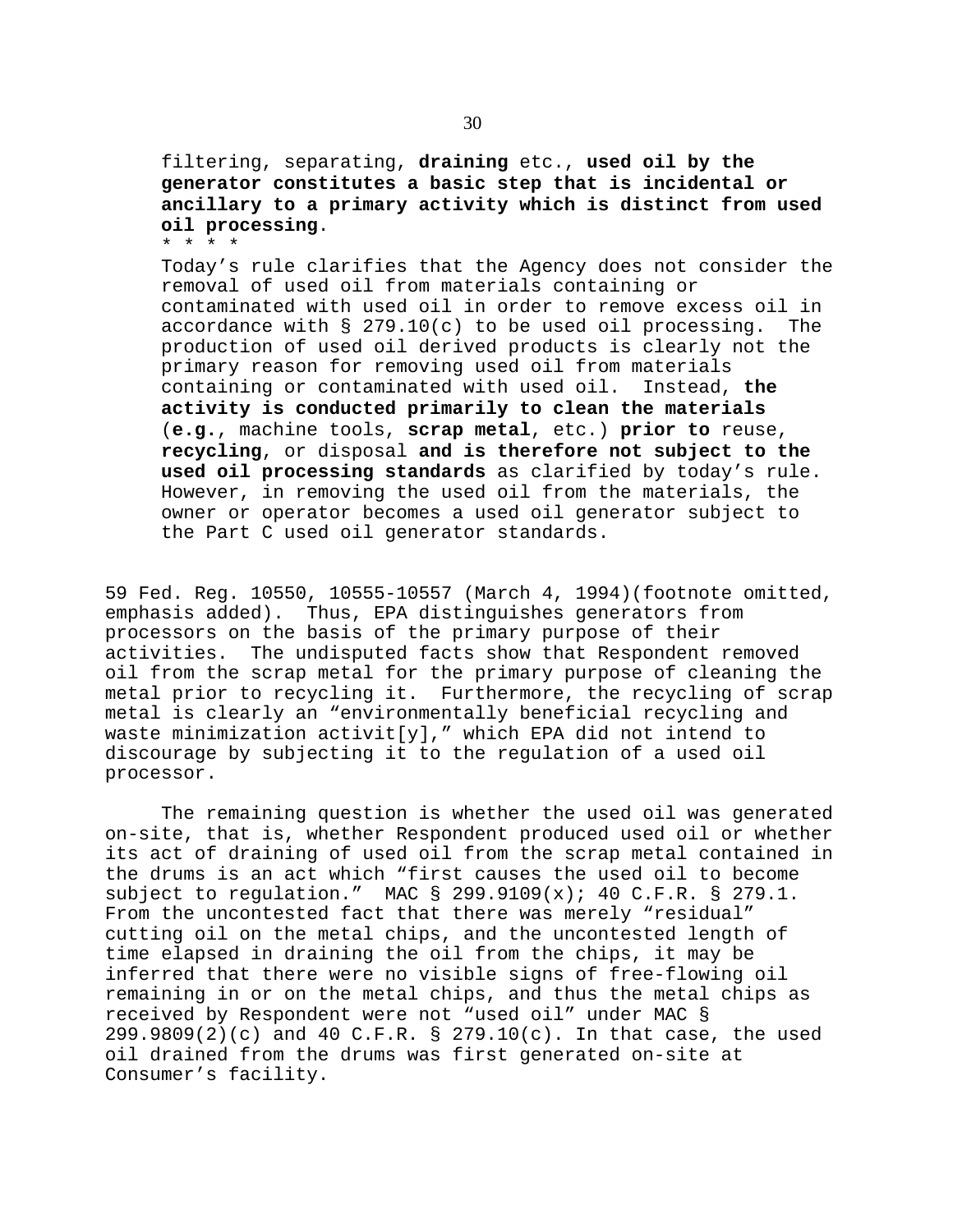filtering, separating, **draining** etc., **used oil by the generator constitutes a basic step that is incidental or ancillary to a primary activity which is distinct from used oil processing**. \* \* \* \*

Today's rule clarifies that the Agency does not consider the removal of used oil from materials containing or contaminated with used oil in order to remove excess oil in accordance with  $\S$  279.10(c) to be used oil processing. The production of used oil derived products is clearly not the primary reason for removing used oil from materials containing or contaminated with used oil. Instead, **the activity is conducted primarily to clean the materials** (**e.g.**, machine tools, **scrap metal**, etc.) **prior to** reuse, **recycling**, or disposal **and is therefore not subject to the used oil processing standards** as clarified by today's rule. However, in removing the used oil from the materials, the owner or operator becomes a used oil generator subject to the Part C used oil generator standards.

59 Fed. Reg. 10550, 10555-10557 (March 4, 1994)(footnote omitted, emphasis added). Thus, EPA distinguishes generators from processors on the basis of the primary purpose of their activities. The undisputed facts show that Respondent removed oil from the scrap metal for the primary purpose of cleaning the metal prior to recycling it. Furthermore, the recycling of scrap metal is clearly an "environmentally beneficial recycling and waste minimization activit[y]," which EPA did not intend to discourage by subjecting it to the regulation of a used oil processor.

The remaining question is whether the used oil was generated on-site, that is, whether Respondent produced used oil or whether its act of draining of used oil from the scrap metal contained in the drums is an act which "first causes the used oil to become subject to regulation." MAC  $\S$  299.9109(x); 40 C.F.R.  $\S$  279.1. From the uncontested fact that there was merely "residual" cutting oil on the metal chips, and the uncontested length of time elapsed in draining the oil from the chips, it may be inferred that there were no visible signs of free-flowing oil remaining in or on the metal chips, and thus the metal chips as received by Respondent were not "used oil" under MAC § 299.9809(2)(c) and 40 C.F.R. § 279.10(c). In that case, the used oil drained from the drums was first generated on-site at Consumer's facility.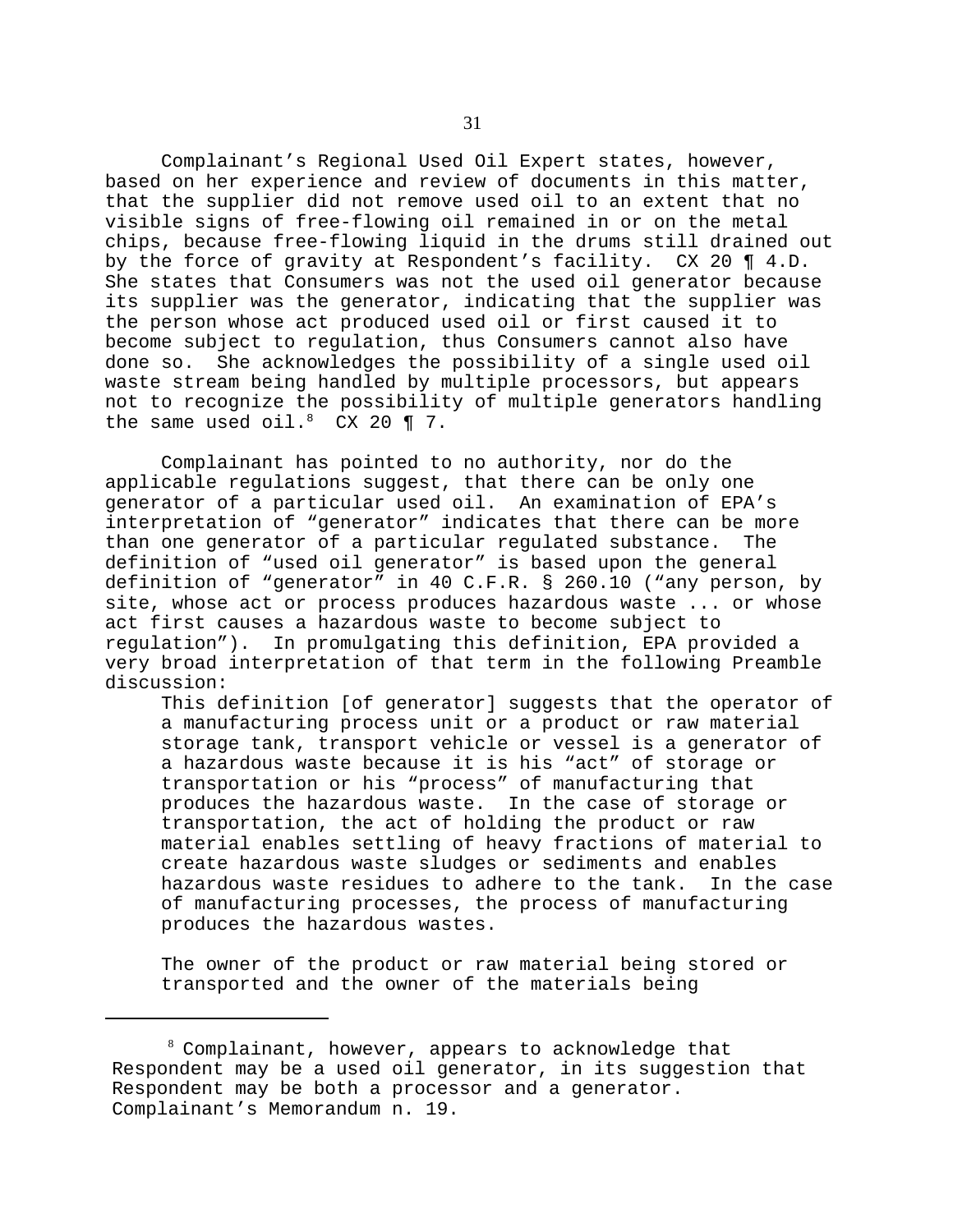Complainant's Regional Used Oil Expert states, however, based on her experience and review of documents in this matter, that the supplier did not remove used oil to an extent that no visible signs of free-flowing oil remained in or on the metal chips, because free-flowing liquid in the drums still drained out by the force of gravity at Respondent's facility. CX 20 ¶ 4.D. She states that Consumers was not the used oil generator because its supplier was the generator, indicating that the supplier was the person whose act produced used oil or first caused it to become subject to regulation, thus Consumers cannot also have done so. She acknowledges the possibility of a single used oil waste stream being handled by multiple processors, but appears not to recognize the possibility of multiple generators handling the same used oil. $8$  CX 20 ¶ 7.

Complainant has pointed to no authority, nor do the applicable regulations suggest, that there can be only one generator of a particular used oil. An examination of EPA's interpretation of "generator" indicates that there can be more than one generator of a particular regulated substance. The definition of "used oil generator" is based upon the general definition of "generator" in 40 C.F.R. § 260.10 ("any person, by site, whose act or process produces hazardous waste ... or whose act first causes a hazardous waste to become subject to regulation"). In promulgating this definition, EPA provided a very broad interpretation of that term in the following Preamble discussion:

This definition [of generator] suggests that the operator of a manufacturing process unit or a product or raw material storage tank, transport vehicle or vessel is a generator of a hazardous waste because it is his "act" of storage or transportation or his "process" of manufacturing that produces the hazardous waste. In the case of storage or transportation, the act of holding the product or raw material enables settling of heavy fractions of material to create hazardous waste sludges or sediments and enables hazardous waste residues to adhere to the tank. In the case of manufacturing processes, the process of manufacturing produces the hazardous wastes.

The owner of the product or raw material being stored or transported and the owner of the materials being

 $8$  Complainant, however, appears to acknowledge that Respondent may be a used oil generator, in its suggestion that Respondent may be both a processor and a generator. Complainant's Memorandum n. 19.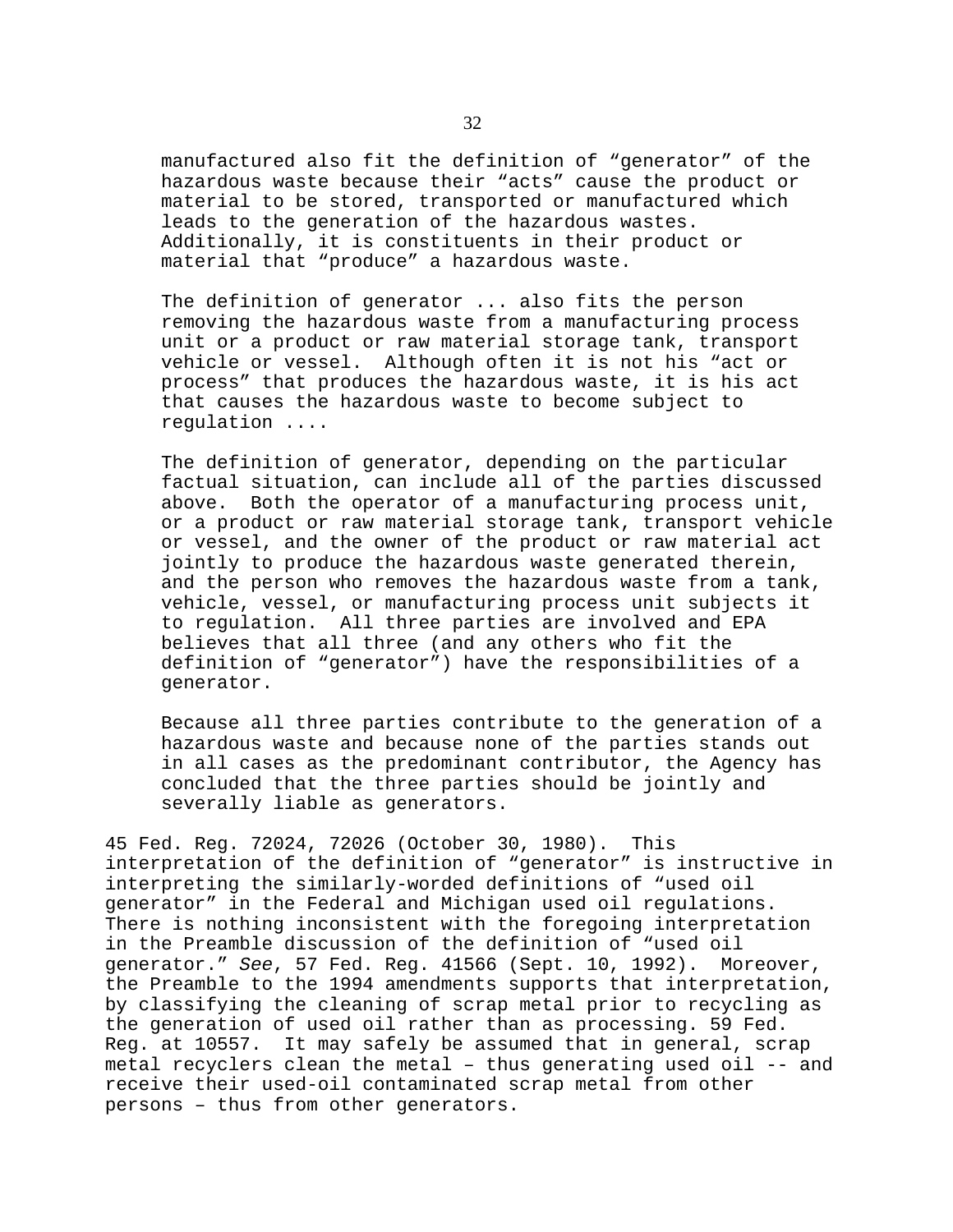manufactured also fit the definition of "generator" of the hazardous waste because their "acts" cause the product or material to be stored, transported or manufactured which leads to the generation of the hazardous wastes. Additionally, it is constituents in their product or material that "produce" a hazardous waste.

The definition of generator ... also fits the person removing the hazardous waste from a manufacturing process unit or a product or raw material storage tank, transport vehicle or vessel. Although often it is not his "act or process" that produces the hazardous waste, it is his act that causes the hazardous waste to become subject to regulation ....

The definition of generator, depending on the particular factual situation, can include all of the parties discussed above. Both the operator of a manufacturing process unit, or a product or raw material storage tank, transport vehicle or vessel, and the owner of the product or raw material act jointly to produce the hazardous waste generated therein, and the person who removes the hazardous waste from a tank, vehicle, vessel, or manufacturing process unit subjects it to regulation. All three parties are involved and EPA believes that all three (and any others who fit the definition of "generator") have the responsibilities of a generator.

Because all three parties contribute to the generation of a hazardous waste and because none of the parties stands out in all cases as the predominant contributor, the Agency has concluded that the three parties should be jointly and severally liable as generators.

45 Fed. Reg. 72024, 72026 (October 30, 1980). This interpretation of the definition of "generator" is instructive in interpreting the similarly-worded definitions of "used oil generator" in the Federal and Michigan used oil regulations. There is nothing inconsistent with the foregoing interpretation in the Preamble discussion of the definition of "used oil generator." *See*, 57 Fed. Reg. 41566 (Sept. 10, 1992). Moreover, the Preamble to the 1994 amendments supports that interpretation, by classifying the cleaning of scrap metal prior to recycling as the generation of used oil rather than as processing. 59 Fed. Reg. at 10557. It may safely be assumed that in general, scrap metal recyclers clean the metal – thus generating used oil -- and receive their used-oil contaminated scrap metal from other persons – thus from other generators.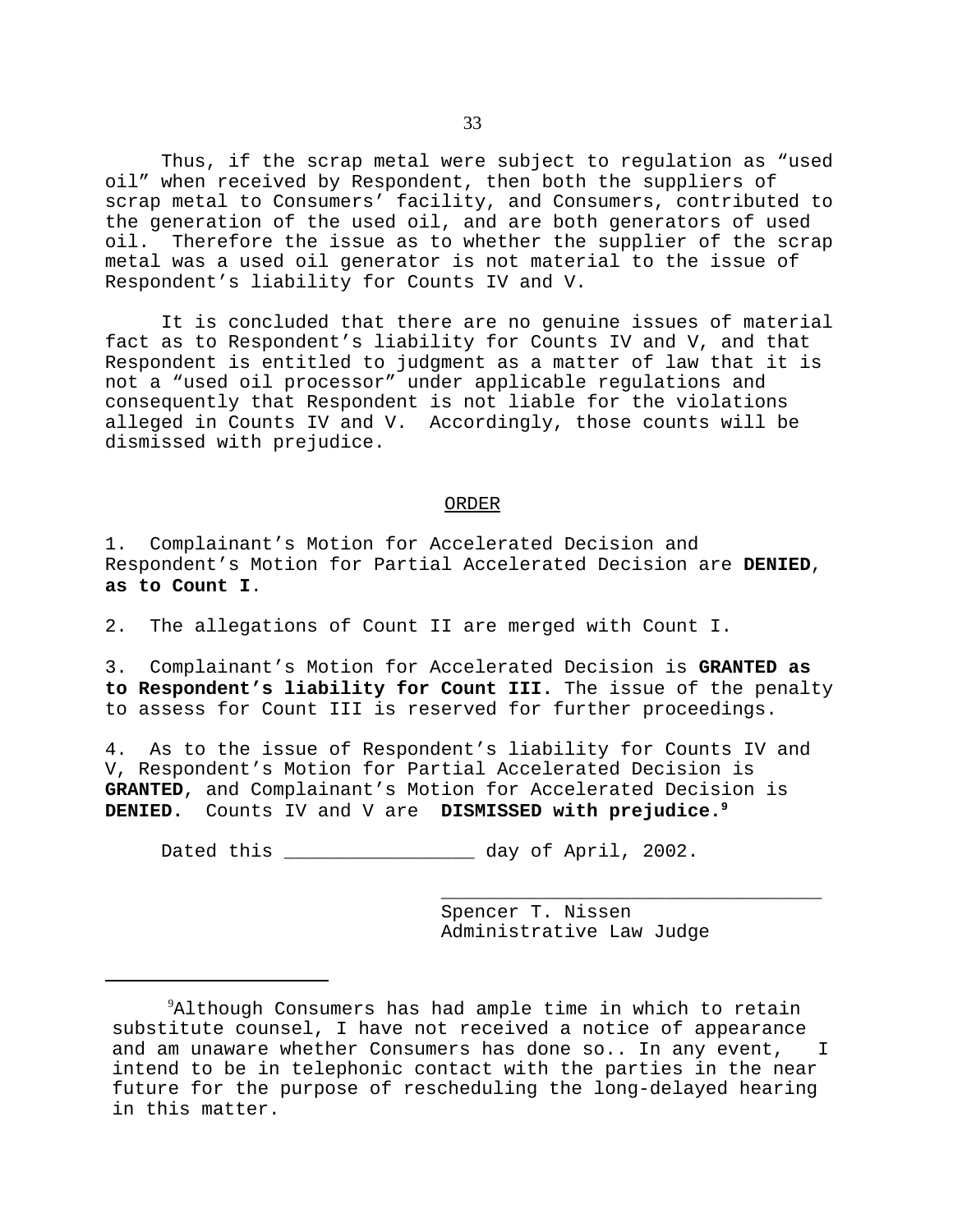Thus, if the scrap metal were subject to regulation as "used oil" when received by Respondent, then both the suppliers of scrap metal to Consumers' facility, and Consumers, contributed to the generation of the used oil, and are both generators of used oil. Therefore the issue as to whether the supplier of the scrap metal was a used oil generator is not material to the issue of Respondent's liability for Counts IV and V.

It is concluded that there are no genuine issues of material fact as to Respondent's liability for Counts IV and V, and that Respondent is entitled to judgment as a matter of law that it is not a "used oil processor" under applicable regulations and consequently that Respondent is not liable for the violations alleged in Counts IV and V. Accordingly, those counts will be dismissed with prejudice.

### ORDER

1. Complainant's Motion for Accelerated Decision and Respondent's Motion for Partial Accelerated Decision are **DENIED**, **as to Count I**.

2. The allegations of Count II are merged with Count I.

3. Complainant's Motion for Accelerated Decision is **GRANTED as to Respondent's liability for Count III.** The issue of the penalty to assess for Count III is reserved for further proceedings.

4. As to the issue of Respondent's liability for Counts IV and V, Respondent's Motion for Partial Accelerated Decision is **GRANTED**, and Complainant's Motion for Accelerated Decision is **DENIED.** Counts IV and V are **DISMISSED with prejudice.9** 

Dated this \_\_\_\_\_\_\_\_\_\_\_\_\_\_\_\_\_ day of April, 2002.

Spencer T. Nissen Administrative Law Judge

\_\_\_\_\_\_\_\_\_\_\_\_\_\_\_\_\_\_\_\_\_\_\_\_\_\_\_\_\_\_\_\_\_\_

 $^{9}$ Although Consumers has had ample time in which to retain substitute counsel, I have not received a notice of appearance and am unaware whether Consumers has done so.. In any event, I intend to be in telephonic contact with the parties in the near future for the purpose of rescheduling the long-delayed hearing in this matter.